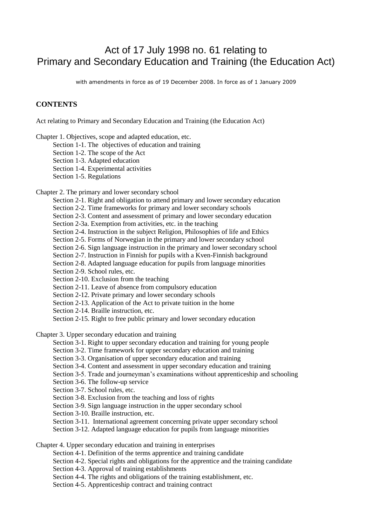# Act of 17 July 1998 no. 61 relating to Primary and Secondary Education and Training (the Education Act)

with amendments in force as of 19 December 2008. In force as of 1 January 2009

#### **CONTENTS**

Act relating to Primary and Secondary Education and Training (the Education Act)

Chapter 1. Objectives, scope and adapted education, etc.

Section 1-1. The objectives of education and training

Section 1-2. The scope of the Act

Section 1-3. Adapted education

Section 1-4. Experimental activities

Section 1-5. Regulations

Chapter 2. The primary and lower secondary school

Section 2-1. Right and obligation to attend primary and lower secondary education

Section 2-2. Time frameworks for primary and lower secondary schools

Section 2-3. Content and assessment of primary and lower secondary education

Section 2-3a. Exemption from activities, etc. in the teaching

Section 2-4. Instruction in the subject Religion, Philosophies of life and Ethics

Section 2-5. Forms of Norwegian in the primary and lower secondary school

Section 2-6. Sign language instruction in the primary and lower secondary school

Section 2-7. Instruction in Finnish for pupils with a Kven-Finnish background

Section 2-8. Adapted language education for pupils from language minorities

Section 2-9. School rules, etc.

Section 2-10. Exclusion from the teaching

Section 2-11. Leave of absence from compulsory education

Section 2-12. Private primary and lower secondary schools

Section 2-13. Application of the Act to private tuition in the home

Section 2-14. Braille instruction, etc.

Section 2-15. Right to free public primary and lower secondary education

Chapter 3. Upper secondary education and training

Section 3-1. Right to upper secondary education and training for young people

Section 3-2. Time framework for upper secondary education and training

Section 3-3. Organisation of upper secondary education and training

Section 3-4. Content and assessment in upper secondary education and training

Section 3-5. Trade and journeyman's examinations without apprenticeship and schooling

Section 3-6. The follow-up service

Section 3-7. School rules, etc.

Section 3-8. Exclusion from the teaching and loss of rights

Section 3-9. Sign language instruction in the upper secondary school

Section 3-10. Braille instruction, etc.

Section 3-11. International agreement concerning private upper secondary school

Section 3-12. Adapted language education for pupils from language minorities

Chapter 4. Upper secondary education and training in enterprises

Section 4-1. Definition of the terms apprentice and training candidate

Section 4-2. Special rights and obligations for the apprentice and the training candidate

Section 4-3. Approval of training establishments

Section 4-4. The rights and obligations of the training establishment, etc.

Section 4-5. Apprenticeship contract and training contract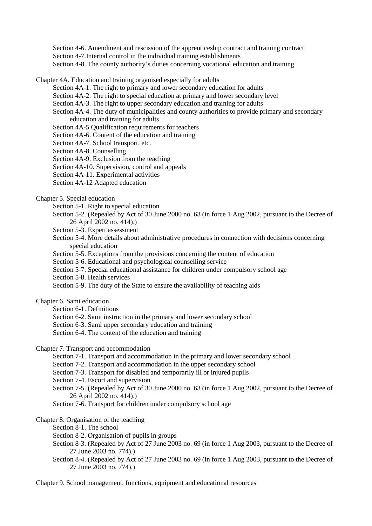Section 4-6. Amendment and rescission of the apprenticeship contract and training contract Section 4-7.Internal control in the individual training establishments Section 4-8. The county authority's duties concerning vocational education and training

Chapter 4A. Education and training organised especially for adults

- Section 4A-1. The right to primary and lower secondary education for adults
- Section 4A-2. The right to special education at primary and lower secondary level
- Section 4A-3. The right to upper secondary education and training for adults
- Section 4A-4. The duty of municipalities and county authorities to provide primary and secondary education and training for adults
- Section 4A-5 Qualification requirements for teachers
- Section 4A-6. Content of the education and training
- Section 4A-7. School transport, etc.
- Section 4A-8. Counselling
- Section 4A-9. Exclusion from the teaching
- Section 4A-10. Supervision, control and appeals
- Section 4A-11. Experimental activities
- Section 4A-12 Adapted education

#### Chapter 5. Special education

- Section 5-1. Right to special education
- Section 5-2. (Repealed by Act of 30 June 2000 no. 63 (in force 1 Aug 2002, pursuant to the Decree of 26 April 2002 no. 414).)
- Section 5-3. Expert assessment
- Section 5-4. More details about administrative procedures in connection with decisions concerning special education
- Section 5-5. Exceptions from the provisions concerning the content of education
- Section 5-6. Educational and psychological counselling service
- Section 5-7. Special educational assistance for children under compulsory school age
- Section 5-8. Health services
- Section 5-9. The duty of the State to ensure the availability of teaching aids

#### Chapter 6. Sami education

- Section 6-1. Definitions
- Section 6-2. Sami instruction in the primary and lower secondary school
- Section 6-3. Sami upper secondary education and training
- Section 6-4. The content of the education and training

Chapter 7. Transport and accommodation

- Section 7-1. Transport and accommodation in the primary and lower secondary school
- Section 7-2. Transport and accommodation in the upper secondary school
- Section 7-3. Transport for disabled and temporarily ill or injured pupils
- Section 7-4. Escort and supervision
- Section 7-5. (Repealed by Act of 30 June 2000 no. 63 (in force 1 Aug 2002, pursuant to the Decree of 26 April 2002 no. 414).)
- Section 7-6. Transport for children under compulsory school age
- Chapter 8. Organisation of the teaching
	- Section 8-1. The school
	- Section 8-2. Organisation of pupils in groups
	- Section 8-3. (Repealed by Act of 27 June 2003 no. 69 (in force 1 Aug 2003, pursuant to the Decree of 27 June 2003 no. 774).)
	- Section 8-4. (Repealed by Act of 27 June 2003 no. 69 (in force 1 Aug 2003, pursuant to the Decree of 27 June 2003 no. 774).)

Chapter 9. School management, functions, equipment and educational resources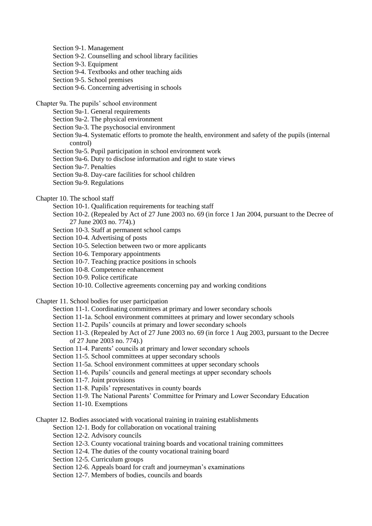- Section 9-1. Management
- Section 9-2. Counselling and school library facilities
- Section 9-3. Equipment
- Section 9-4. Textbooks and other teaching aids
- Section 9-5. School premises
- Section 9-6. Concerning advertising in schools
- Chapter 9a. The pupils' school environment
	- Section 9a-1. General requirements
	- Section 9a-2. The physical environment
	- Section 9a-3. The psychosocial environment
	- Section 9a-4. Systematic efforts to promote the health, environment and safety of the pupils (internal control)
	- Section 9a-5. Pupil participation in school environment work
	- Section 9a-6. Duty to disclose information and right to state views
	- Section 9a-7. Penalties
	- Section 9a-8. Day-care facilities for school children
	- Section 9a-9. Regulations
- Chapter 10. The school staff
	- Section 10-1. Qualification requirements for teaching staff
	- Section 10-2. (Repealed by Act of 27 June 2003 no. 69 (in force 1 Jan 2004, pursuant to the Decree of 27 June 2003 no. 774).)
	- Section 10-3. Staff at permanent school camps
	- Section 10-4. Advertising of posts
	- Section 10-5. Selection between two or more applicants
	- Section 10-6. Temporary appointments
	- Section 10-7. Teaching practice positions in schools
	- Section 10-8. Competence enhancement
	- Section 10-9. Police certificate

Section 10-10. Collective agreements concerning pay and working conditions

Chapter 11. School bodies for user participation

- Section 11-1. Coordinating committees at primary and lower secondary schools
- Section 11-1a. School environment committees at primary and lower secondary schools
- Section 11-2. Pupils' councils at primary and lower secondary schools
- Section 11-3. (Repealed by Act of 27 June 2003 no. 69 (in force 1 Aug 2003, pursuant to the Decree of 27 June 2003 no. 774).)
- Section 11-4. Parents' councils at primary and lower secondary schools
- Section 11-5. School committees at upper secondary schools
- Section 11-5a. School environment committees at upper secondary schools
- Section 11-6. Pupils' councils and general meetings at upper secondary schools
- Section 11-7. Joint provisions
- Section 11-8. Pupils' representatives in county boards
- Section 11-9. The National Parents' Committee for Primary and Lower Secondary Education
- Section 11-10. Exemptions
- Chapter 12. Bodies associated with vocational training in training establishments
	- Section 12-1. Body for collaboration on vocational training
	- Section 12-2. Advisory councils
	- Section 12-3. County vocational training boards and vocational training committees
	- Section 12-4. The duties of the county vocational training board
	- Section 12-5. Curriculum groups
	- Section 12-6. Appeals board for craft and journeyman's examinations
	- Section 12-7. Members of bodies, councils and boards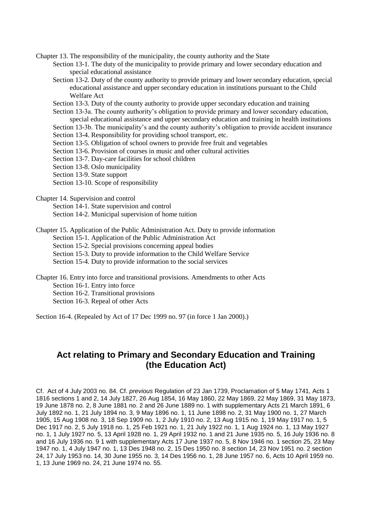Chapter 13. The responsibility of the municipality, the county authority and the State

Section 13-1. The duty of the municipality to provide primary and lower secondary education and special educational assistance

Section 13-2. Duty of the county authority to provide primary and lower secondary education, special educational assistance and upper secondary education in institutions pursuant to the Child Welfare Act

Section 13-3. Duty of the county authority to provide upper secondary education and training

Section 13-3a. The county authority's obligation to provide primary and lower secondary education, special educational assistance and upper secondary education and training in health institutions

Section 13-3b. The municipality's and the county authority's obligation to provide accident insurance Section 13-4. Responsibility for providing school transport, etc.

Section 13-5. Obligation of school owners to provide free fruit and vegetables

Section 13-6. Provision of courses in music and other cultural activities

Section 13-7. Day-care facilities for school children

Section 13-8. Oslo municipality

Section 13-9. State support

Section 13-10. Scope of responsibility

Chapter 14. Supervision and control

Section 14-1. State supervision and control Section 14-2. Municipal supervision of home tuition

Chapter 15. Application of the Public Administration Act. Duty to provide information

Section 15-1. Application of the Public Administration Act

Section 15-2. Special provisions concerning appeal bodies

Section 15-3. Duty to provide information to the Child Welfare Service

Section 15-4. Duty to provide information to the social services

Chapter 16. Entry into force and transitional provisions. Amendments to other Acts

Section 16-1. Entry into force

Section 16-2. Transitional provisions

Section 16-3. Repeal of other Acts

Section 16-4. (Repealed by Act of 17 Dec 1999 no. 97 (in force 1 Jan 2000).)

# **Act relating to Primary and Secondary Education and Training (the Education Act)**

Cf. Act of 4 July 2003 no. 84. Cf. *previous* Regulation of 23 Jan 1739, Proclamation of 5 May 1741, Acts 1 1816 sections 1 and 2, 14 July 1827, 26 Aug 1854, 16 May 1860, 22 May 1869, 22 May 1869, 31 May 1873, 19 June 1878 no. 2, 8 June 1881 no. 2 and 26 June 1889 no. 1 with supplementary Acts 21 March 1891, 6 July 1892 no. 1, 21 July 1894 no. 3, 9 May 1896 no. 1, 11 June 1898 no. 2, 31 May 1900 no. 1, 27 March 1905, 15 Aug 1908 no. 3, 18 Sep 1909 no. 1, 2 July 1910 no. 2, 13 Aug 1915 no. 1, 19 May 1917 no. 1, 5 Dec 1917 no. 2, 5 July 1918 no. 1, 25 Feb 1921 no. 1, 21 July 1922 no. 1, 1 Aug 1924 no. 1, 13 May 1927 no. 1, 1 July 1927 no. 5, 13 April 1928 no. 1, 29 April 1932 no. 1 and 21 June 1935 no. 5, 16 July 1936 no. 8 and 16 July 1936 no. 9 1 with supplementary Acts 17 June 1937 no. 5, 8 Nov 1946 no. 1 section 25, 23 May 1947 no. 1, 4 July 1947 no. 1, 13 Des 1948 no. 2, 15 Des 1950 no. 8 section 14, 23 Nov 1951 no. 2 section 24, 17 July 1953 no. 14, 30 June 1955 no. 3, 14 Des 1956 no. 1, 28 June 1957 no. 6, Acts 10 April 1959 no. 1, 13 June 1969 no. 24, 21 June 1974 no. 55.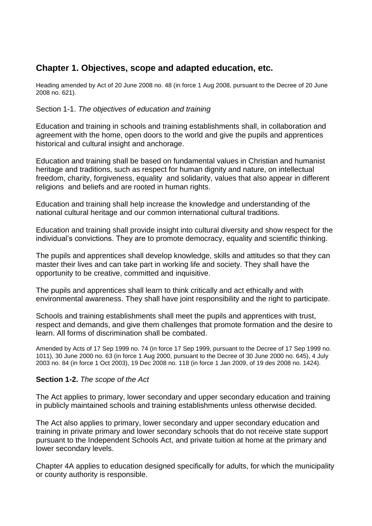# **Chapter 1. Objectives, scope and adapted education, etc.**

Heading amended by Act of 20 June 2008 no. 48 (in force 1 Aug 2008, pursuant to the Decree of 20 June 2008 no. 621).

## Section 1-1. *The objectives of education and training*

Education and training in schools and training establishments shall, in collaboration and agreement with the home, open doors to the world and give the pupils and apprentices historical and cultural insight and anchorage.

Education and training shall be based on fundamental values in Christian and humanist heritage and traditions, such as respect for human dignity and nature, on intellectual freedom, charity, forgiveness, equality and solidarity, values that also appear in different religions and beliefs and are rooted in human rights.

Education and training shall help increase the knowledge and understanding of the national cultural heritage and our common international cultural traditions.

Education and training shall provide insight into cultural diversity and show respect for the individual's convictions. They are to promote democracy, equality and scientific thinking.

The pupils and apprentices shall develop knowledge, skills and attitudes so that they can master their lives and can take part in working life and society. They shall have the opportunity to be creative, committed and inquisitive.

The pupils and apprentices shall learn to think critically and act ethically and with environmental awareness. They shall have joint responsibility and the right to participate.

Schools and training establishments shall meet the pupils and apprentices with trust, respect and demands, and give them challenges that promote formation and the desire to learn. All forms of discrimination shall be combated.

Amended by Acts of 17 Sep 1999 no. 74 (in force 17 Sep 1999, pursuant to the Decree of 17 Sep 1999 no. 1011), 30 June 2000 no. 63 (in force 1 Aug 2000, pursuant to the Decree of 30 June 2000 no. 645), 4 July 2003 no. 84 (in force 1 Oct 2003), 19 Dec 2008 no. 118 (in force 1 Jan 2009, of 19 des 2008 no. 1424).

### **Section 1-2.** *The scope of the Act*

The Act applies to primary, lower secondary and upper secondary education and training in publicly maintained schools and training establishments unless otherwise decided.

The Act also applies to primary, lower secondary and upper secondary education and training in private primary and lower secondary schools that do not receive state support pursuant to the Independent Schools Act, and private tuition at home at the primary and lower secondary levels.

Chapter 4A applies to education designed specifically for adults, for which the municipality or county authority is responsible.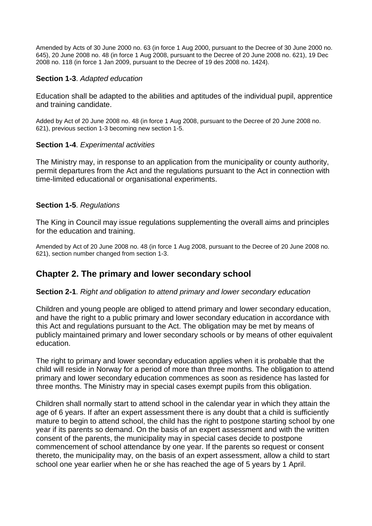Amended by Acts of 30 June 2000 no. 63 (in force 1 Aug 2000, pursuant to the Decree of 30 June 2000 no. 645), 20 June 2008 no. 48 (in force 1 Aug 2008, pursuant to the Decree of 20 June 2008 no. 621), 19 Dec 2008 no. 118 (in force 1 Jan 2009, pursuant to the Decree of 19 des 2008 no. 1424).

## **Section 1-3**. *Adapted education*

Education shall be adapted to the abilities and aptitudes of the individual pupil, apprentice and training candidate.

Added by Act of 20 June 2008 no. 48 (in force 1 Aug 2008, pursuant to the Decree of 20 June 2008 no. 621), previous section 1-3 becoming new section 1-5.

### **Section 1-4**. *Experimental activities*

The Ministry may, in response to an application from the municipality or county authority, permit departures from the Act and the regulations pursuant to the Act in connection with time-limited educational or organisational experiments.

# **Section 1-5**. *Regulations*

The King in Council may issue regulations supplementing the overall aims and principles for the education and training.

Amended by Act of 20 June 2008 no. 48 (in force 1 Aug 2008, pursuant to the Decree of 20 June 2008 no. 621), section number changed from section 1-3.

# **Chapter 2. The primary and lower secondary school**

### **Section 2-1**. *Right and obligation to attend primary and lower secondary education*

Children and young people are obliged to attend primary and lower secondary education, and have the right to a public primary and lower secondary education in accordance with this Act and regulations pursuant to the Act. The obligation may be met by means of publicly maintained primary and lower secondary schools or by means of other equivalent education.

The right to primary and lower secondary education applies when it is probable that the child will reside in Norway for a period of more than three months. The obligation to attend primary and lower secondary education commences as soon as residence has lasted for three months. The Ministry may in special cases exempt pupils from this obligation.

Children shall normally start to attend school in the calendar year in which they attain the age of 6 years. If after an expert assessment there is any doubt that a child is sufficiently mature to begin to attend school, the child has the right to postpone starting school by one year if its parents so demand. On the basis of an expert assessment and with the written consent of the parents, the municipality may in special cases decide to postpone commencement of school attendance by one year. If the parents so request or consent thereto, the municipality may, on the basis of an expert assessment, allow a child to start school one year earlier when he or she has reached the age of 5 years by 1 April.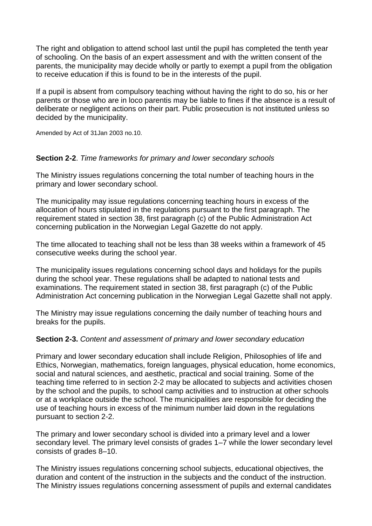The right and obligation to attend school last until the pupil has completed the tenth year of schooling. On the basis of an expert assessment and with the written consent of the parents, the municipality may decide wholly or partly to exempt a pupil from the obligation to receive education if this is found to be in the interests of the pupil.

If a pupil is absent from compulsory teaching without having the right to do so, his or her parents or those who are in loco parentis may be liable to fines if the absence is a result of deliberate or negligent actions on their part. Public prosecution is not instituted unless so decided by the municipality.

Amended by Act of 31Jan 2003 no.10.

### **Section 2-2**. *Time frameworks for primary and lower secondary schools*

The Ministry issues regulations concerning the total number of teaching hours in the primary and lower secondary school.

The municipality may issue regulations concerning teaching hours in excess of the allocation of hours stipulated in the regulations pursuant to the first paragraph. The requirement stated in section 38, first paragraph (c) of the Public Administration Act concerning publication in the Norwegian Legal Gazette do not apply.

The time allocated to teaching shall not be less than 38 weeks within a framework of 45 consecutive weeks during the school year.

The municipality issues regulations concerning school days and holidays for the pupils during the school year. These regulations shall be adapted to national tests and examinations. The requirement stated in section 38, first paragraph (c) of the Public Administration Act concerning publication in the Norwegian Legal Gazette shall not apply.

The Ministry may issue regulations concerning the daily number of teaching hours and breaks for the pupils.

### **Section 2-3.** *Content and assessment of primary and lower secondary education*

Primary and lower secondary education shall include Religion, Philosophies of life and Ethics, Norwegian, mathematics, foreign languages, physical education, home economics, social and natural sciences, and aesthetic, practical and social training. Some of the teaching time referred to in section 2-2 may be allocated to subjects and activities chosen by the school and the pupils, to school camp activities and to instruction at other schools or at a workplace outside the school. The municipalities are responsible for deciding the use of teaching hours in excess of the minimum number laid down in the regulations pursuant to section 2-2.

The primary and lower secondary school is divided into a primary level and a lower secondary level. The primary level consists of grades 1–7 while the lower secondary level consists of grades 8–10.

The Ministry issues regulations concerning school subjects, educational objectives, the duration and content of the instruction in the subjects and the conduct of the instruction. The Ministry issues regulations concerning assessment of pupils and external candidates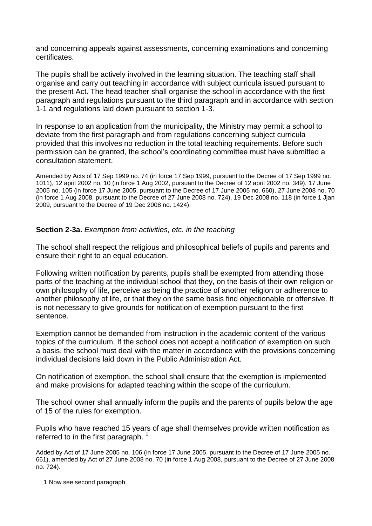and concerning appeals against assessments, concerning examinations and concerning certificates.

The pupils shall be actively involved in the learning situation. The teaching staff shall organise and carry out teaching in accordance with subject curricula issued pursuant to the present Act. The head teacher shall organise the school in accordance with the first paragraph and regulations pursuant to the third paragraph and in accordance with section 1-1 and regulations laid down pursuant to section 1-3.

In response to an application from the municipality, the Ministry may permit a school to deviate from the first paragraph and from regulations concerning subject curricula provided that this involves no reduction in the total teaching requirements. Before such permission can be granted, the school's coordinating committee must have submitted a consultation statement.

Amended by Acts of 17 Sep 1999 no. 74 (in force 17 Sep 1999, pursuant to the Decree of 17 Sep 1999 no. 1011), 12 april 2002 no. 10 (in force 1 Aug 2002, pursuant to the Decree of 12 april 2002 no. 349), 17 June 2005 no. 105 (in force 17 June 2005, pursuant to the Decree of 17 June 2005 no. 660), 27 June 2008 no. 70 (in force 1 Aug 2008, pursuant to the Decree of 27 June 2008 no. 724), 19 Dec 2008 no. 118 (in force 1 Jjan 2009, pursuant to the Decree of 19 Dec 2008 no. 1424).

### **Section 2-3a.** *Exemption from activities, etc. in the teaching*

The school shall respect the religious and philosophical beliefs of pupils and parents and ensure their right to an equal education.

Following written notification by parents, pupils shall be exempted from attending those parts of the teaching at the individual school that they, on the basis of their own religion or own philosophy of life, perceive as being the practice of another religion or adherence to another philosophy of life, or that they on the same basis find objectionable or offensive. It is not necessary to give grounds for notification of exemption pursuant to the first sentence.

Exemption cannot be demanded from instruction in the academic content of the various topics of the curriculum. If the school does not accept a notification of exemption on such a basis, the school must deal with the matter in accordance with the provisions concerning individual decisions laid down in the Public Administration Act.

On notification of exemption, the school shall ensure that the exemption is implemented and make provisions for adapted teaching within the scope of the curriculum.

The school owner shall annually inform the pupils and the parents of pupils below the age of 15 of the rules for exemption.

Pupils who have reached 15 years of age shall themselves provide written notification as referred to in the first paragraph.  $1$ 

Added by Act of 17 June 2005 no. 106 (in force 17 June 2005, pursuant to the Decree of 17 June 2005 no. 661), amended by Act of 27 June 2008 no. 70 (in force 1 Aug 2008, pursuant to the Decree of 27 June 2008 no. 724).

1 Now see second paragraph.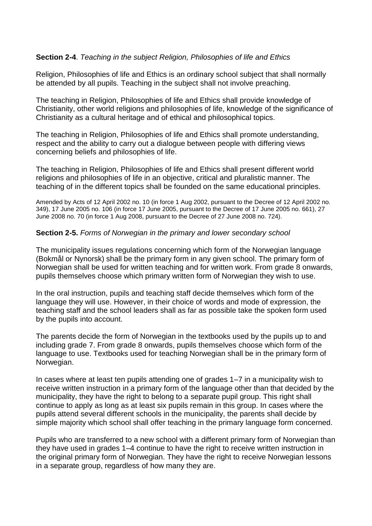## **Section 2-4**. *Teaching in the subject Religion, Philosophies of life and Ethics*

Religion, Philosophies of life and Ethics is an ordinary school subject that shall normally be attended by all pupils. Teaching in the subject shall not involve preaching.

The teaching in Religion, Philosophies of life and Ethics shall provide knowledge of Christianity, other world religions and philosophies of life, knowledge of the significance of Christianity as a cultural heritage and of ethical and philosophical topics.

The teaching in Religion, Philosophies of life and Ethics shall promote understanding, respect and the ability to carry out a dialogue between people with differing views concerning beliefs and philosophies of life.

The teaching in Religion, Philosophies of life and Ethics shall present different world religions and philosophies of life in an objective, critical and pluralistic manner. The teaching of in the different topics shall be founded on the same educational principles.

Amended by Acts of 12 April 2002 no. 10 (in force 1 Aug 2002, pursuant to the Decree of 12 April 2002 no. 349), 17 June 2005 no. 106 (in force 17 June 2005, pursuant to the Decree of 17 June 2005 no. 661), 27 June 2008 no. 70 (in force 1 Aug 2008, pursuant to the Decree of 27 June 2008 no. 724).

### **Section 2-5.** *Forms of Norwegian in the primary and lower secondary school*

The municipality issues regulations concerning which form of the Norwegian language (Bokmål or Nynorsk) shall be the primary form in any given school. The primary form of Norwegian shall be used for written teaching and for written work. From grade 8 onwards, pupils themselves choose which primary written form of Norwegian they wish to use.

In the oral instruction, pupils and teaching staff decide themselves which form of the language they will use. However, in their choice of words and mode of expression, the teaching staff and the school leaders shall as far as possible take the spoken form used by the pupils into account.

The parents decide the form of Norwegian in the textbooks used by the pupils up to and including grade 7. From grade 8 onwards, pupils themselves choose which form of the language to use. Textbooks used for teaching Norwegian shall be in the primary form of Norwegian.

In cases where at least ten pupils attending one of grades 1–7 in a municipality wish to receive written instruction in a primary form of the language other than that decided by the municipality, they have the right to belong to a separate pupil group. This right shall continue to apply as long as at least six pupils remain in this group. In cases where the pupils attend several different schools in the municipality, the parents shall decide by simple majority which school shall offer teaching in the primary language form concerned.

Pupils who are transferred to a new school with a different primary form of Norwegian than they have used in grades 1–4 continue to have the right to receive written instruction in the original primary form of Norwegian. They have the right to receive Norwegian lessons in a separate group, regardless of how many they are.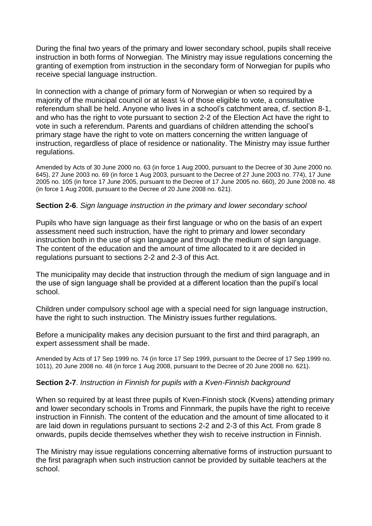During the final two years of the primary and lower secondary school, pupils shall receive instruction in both forms of Norwegian. The Ministry may issue regulations concerning the granting of exemption from instruction in the secondary form of Norwegian for pupils who receive special language instruction.

In connection with a change of primary form of Norwegian or when so required by a majority of the municipal council or at least ¼ of those eligible to vote, a consultative referendum shall be held. Anyone who lives in a school's catchment area, cf. section 8-1, and who has the right to vote pursuant to section 2-2 of the Election Act have the right to vote in such a referendum. Parents and guardians of children attending the school's primary stage have the right to vote on matters concerning the written language of instruction, regardless of place of residence or nationality. The Ministry may issue further regulations.

Amended by Acts of 30 June 2000 no. 63 (in force 1 Aug 2000, pursuant to the Decree of 30 June 2000 no. 645), 27 June 2003 no. 69 (in force 1 Aug 2003, pursuant to the Decree of 27 June 2003 no. 774), 17 June 2005 no. 105 (in force 17 June 2005, pursuant to the Decree of 17 June 2005 no. 660), 20 June 2008 no. 48 (in force 1 Aug 2008, pursuant to the Decree of 20 June 2008 no. 621).

### **Section 2-6**. *Sign language instruction in the primary and lower secondary school*

Pupils who have sign language as their first language or who on the basis of an expert assessment need such instruction, have the right to primary and lower secondary instruction both in the use of sign language and through the medium of sign language. The content of the education and the amount of time allocated to it are decided in regulations pursuant to sections 2-2 and 2-3 of this Act.

The municipality may decide that instruction through the medium of sign language and in the use of sign language shall be provided at a different location than the pupil's local school.

Children under compulsory school age with a special need for sign language instruction, have the right to such instruction. The Ministry issues further regulations.

Before a municipality makes any decision pursuant to the first and third paragraph, an expert assessment shall be made.

Amended by Acts of 17 Sep 1999 no. 74 (in force 17 Sep 1999, pursuant to the Decree of 17 Sep 1999 no. 1011), 20 June 2008 no. 48 (in force 1 Aug 2008, pursuant to the Decree of 20 June 2008 no. 621).

### **Section 2-7**. *Instruction in Finnish for pupils with a Kven-Finnish background*

When so required by at least three pupils of Kven-Finnish stock (Kvens) attending primary and lower secondary schools in Troms and Finnmark, the pupils have the right to receive instruction in Finnish. The content of the education and the amount of time allocated to it are laid down in regulations pursuant to sections 2-2 and 2-3 of this Act. From grade 8 onwards, pupils decide themselves whether they wish to receive instruction in Finnish.

The Ministry may issue regulations concerning alternative forms of instruction pursuant to the first paragraph when such instruction cannot be provided by suitable teachers at the school.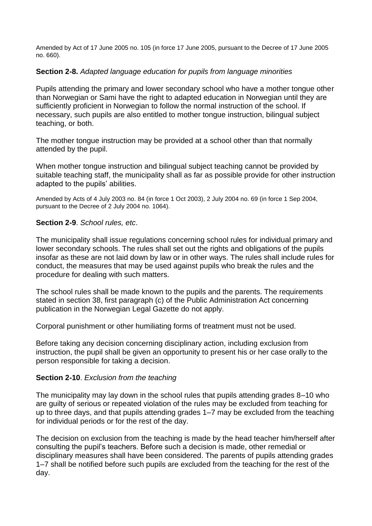Amended by Act of 17 June 2005 no. 105 (in force 17 June 2005, pursuant to the Decree of 17 June 2005 no. 660).

### **Section 2-8.** *Adapted language education for pupils from language minorities*

Pupils attending the primary and lower secondary school who have a mother tongue other than Norwegian or Sami have the right to adapted education in Norwegian until they are sufficiently proficient in Norwegian to follow the normal instruction of the school. If necessary, such pupils are also entitled to mother tongue instruction, bilingual subject teaching, or both.

The mother tongue instruction may be provided at a school other than that normally attended by the pupil.

When mother tongue instruction and bilingual subject teaching cannot be provided by suitable teaching staff, the municipality shall as far as possible provide for other instruction adapted to the pupils' abilities.

Amended by Acts of 4 July 2003 no. 84 (in force 1 Oct 2003), 2 July 2004 no. 69 (in force 1 Sep 2004, pursuant to the Decree of 2 July 2004 no. 1064).

### **Section 2-9**. *School rules, etc*.

The municipality shall issue regulations concerning school rules for individual primary and lower secondary schools. The rules shall set out the rights and obligations of the pupils insofar as these are not laid down by law or in other ways. The rules shall include rules for conduct, the measures that may be used against pupils who break the rules and the procedure for dealing with such matters.

The school rules shall be made known to the pupils and the parents. The requirements stated in section 38, first paragraph (c) of the Public Administration Act concerning publication in the Norwegian Legal Gazette do not apply.

Corporal punishment or other humiliating forms of treatment must not be used.

Before taking any decision concerning disciplinary action, including exclusion from instruction, the pupil shall be given an opportunity to present his or her case orally to the person responsible for taking a decision.

#### **Section 2-10**. *Exclusion from the teaching*

The municipality may lay down in the school rules that pupils attending grades 8–10 who are guilty of serious or repeated violation of the rules may be excluded from teaching for up to three days, and that pupils attending grades 1–7 may be excluded from the teaching for individual periods or for the rest of the day.

The decision on exclusion from the teaching is made by the head teacher him/herself after consulting the pupil's teachers. Before such a decision is made, other remedial or disciplinary measures shall have been considered. The parents of pupils attending grades 1–7 shall be notified before such pupils are excluded from the teaching for the rest of the day.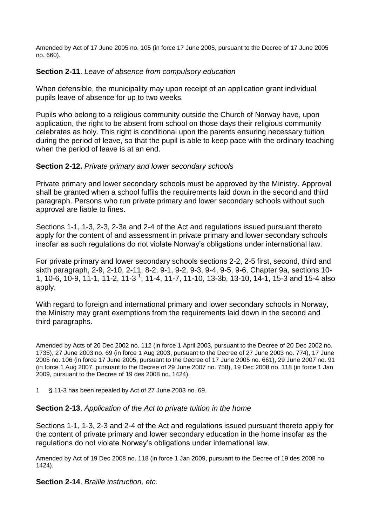Amended by Act of 17 June 2005 no. 105 (in force 17 June 2005, pursuant to the Decree of 17 June 2005 no. 660).

## **Section 2-11**. *Leave of absence from compulsory education*

When defensible, the municipality may upon receipt of an application grant individual pupils leave of absence for up to two weeks.

Pupils who belong to a religious community outside the Church of Norway have, upon application, the right to be absent from school on those days their religious community celebrates as holy. This right is conditional upon the parents ensuring necessary tuition during the period of leave, so that the pupil is able to keep pace with the ordinary teaching when the period of leave is at an end.

## **Section 2-12.** *Private primary and lower secondary schools*

Private primary and lower secondary schools must be approved by the Ministry. Approval shall be granted when a school fulfils the requirements laid down in the second and third paragraph. Persons who run private primary and lower secondary schools without such approval are liable to fines.

Sections 1-1, 1-3, 2-3, 2-3a and 2-4 of the Act and regulations issued pursuant thereto apply for the content of and assessment in private primary and lower secondary schools insofar as such regulations do not violate Norway's obligations under international law.

For private primary and lower secondary schools sections 2-2, 2-5 first, second, third and sixth paragraph, 2-9, 2-10, 2-11, 8-2, 9-1, 9-2, 9-3, 9-4, 9-5, 9-6, Chapter 9a, sections 10- 1, 10-6, 10-9, 11-1, 11-2, 11-3<sup>-1</sup>, 11-4, 11-7, 11-10, 13-3b, 13-10, 14-1, 15-3 and 15-4 also apply.

With regard to foreign and international primary and lower secondary schools in Norway, the Ministry may grant exemptions from the requirements laid down in the second and third paragraphs.

Amended by Acts of 20 Dec 2002 no. 112 (in force 1 April 2003, pursuant to the Decree of 20 Dec 2002 no. 1735), 27 June 2003 no. 69 (in force 1 Aug 2003, pursuant to the Decree of 27 June 2003 no. 774), 17 June 2005 no. 106 (in force 17 June 2005, pursuant to the Decree of 17 June 2005 no. 661), 29 June 2007 no. 91 (in force 1 Aug 2007, pursuant to the Decree of 29 June 2007 no. 758), 19 Dec 2008 no. 118 (in force 1 Jan 2009, pursuant to the Decree of 19 des 2008 no. 1424).

1 § 11-3 has been repealed by Act of 27 June 2003 no. 69.

### **Section 2-13**. *Application of the Act to private tuition in the home*

Sections 1-1, 1-3, 2-3 and 2-4 of the Act and regulations issued pursuant thereto apply for the content of private primary and lower secondary education in the home insofar as the regulations do not violate Norway's obligations under international law.

Amended by Act of 19 Dec 2008 no. 118 (in force 1 Jan 2009, pursuant to the Decree of 19 des 2008 no. 1424).

**Section 2-14**. *Braille instruction, etc*.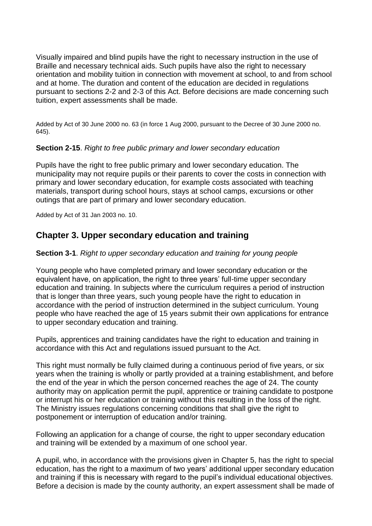Visually impaired and blind pupils have the right to necessary instruction in the use of Braille and necessary technical aids. Such pupils have also the right to necessary orientation and mobility tuition in connection with movement at school, to and from school and at home. The duration and content of the education are decided in regulations pursuant to sections 2-2 and 2-3 of this Act. Before decisions are made concerning such tuition, expert assessments shall be made.

Added by Act of 30 June 2000 no. 63 (in force 1 Aug 2000, pursuant to the Decree of 30 June 2000 no. 645).

# **Section 2-15**. *Right to free public primary and lower secondary education*

Pupils have the right to free public primary and lower secondary education. The municipality may not require pupils or their parents to cover the costs in connection with primary and lower secondary education, for example costs associated with teaching materials, transport during school hours, stays at school camps, excursions or other outings that are part of primary and lower secondary education.

Added by Act of 31 Jan 2003 no. 10.

# **Chapter 3. Upper secondary education and training**

## **Section 3-1**. *Right to upper secondary education and training for young people*

Young people who have completed primary and lower secondary education or the equivalent have, on application, the right to three years' full-time upper secondary education and training. In subjects where the curriculum requires a period of instruction that is longer than three years, such young people have the right to education in accordance with the period of instruction determined in the subject curriculum. Young people who have reached the age of 15 years submit their own applications for entrance to upper secondary education and training.

Pupils, apprentices and training candidates have the right to education and training in accordance with this Act and regulations issued pursuant to the Act.

This right must normally be fully claimed during a continuous period of five years, or six years when the training is wholly or partly provided at a training establishment, and before the end of the year in which the person concerned reaches the age of 24. The county authority may on application permit the pupil, apprentice or training candidate to postpone or interrupt his or her education or training without this resulting in the loss of the right. The Ministry issues regulations concerning conditions that shall give the right to postponement or interruption of education and/or training.

Following an application for a change of course, the right to upper secondary education and training will be extended by a maximum of one school year.

A pupil, who, in accordance with the provisions given in Chapter 5, has the right to special education, has the right to a maximum of two years' additional upper secondary education and training if this is necessary with regard to the pupil's individual educational objectives. Before a decision is made by the county authority, an expert assessment shall be made of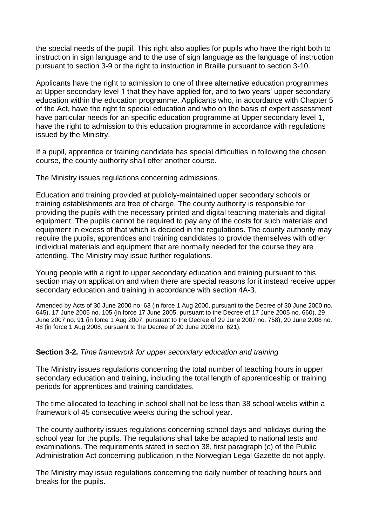the special needs of the pupil. This right also applies for pupils who have the right both to instruction in sign language and to the use of sign language as the language of instruction pursuant to section 3-9 or the right to instruction in Braille pursuant to section 3-10.

Applicants have the right to admission to one of three alternative education programmes at Upper secondary level 1 that they have applied for, and to two years' upper secondary education within the education programme. Applicants who, in accordance with Chapter 5 of the Act, have the right to special education and who on the basis of expert assessment have particular needs for an specific education programme at Upper secondary level 1, have the right to admission to this education programme in accordance with regulations issued by the Ministry.

If a pupil, apprentice or training candidate has special difficulties in following the chosen course, the county authority shall offer another course.

The Ministry issues regulations concerning admissions.

Education and training provided at publicly-maintained upper secondary schools or training establishments are free of charge. The county authority is responsible for providing the pupils with the necessary printed and digital teaching materials and digital equipment. The pupils cannot be required to pay any of the costs for such materials and equipment in excess of that which is decided in the regulations. The county authority may require the pupils, apprentices and training candidates to provide themselves with other individual materials and equipment that are normally needed for the course they are attending. The Ministry may issue further regulations.

Young people with a right to upper secondary education and training pursuant to this section may on application and when there are special reasons for it instead receive upper secondary education and training in accordance with section 4A-3.

Amended by Acts of 30 June 2000 no. 63 (in force 1 Aug 2000, pursuant to the Decree of 30 June 2000 no. 645), 17 June 2005 no. 105 (in force 17 June 2005, pursuant to the Decree of 17 June 2005 no. 660), 29 June 2007 no. 91 (in force 1 Aug 2007, pursuant to the Decree of 29 June 2007 no. 758), 20 June 2008 no. 48 (in force 1 Aug 2008, pursuant to the Decree of 20 June 2008 no. 621).

### **Section 3-2.** *Time framework for upper secondary education and training*

The Ministry issues regulations concerning the total number of teaching hours in upper secondary education and training, including the total length of apprenticeship or training periods for apprentices and training candidates.

The time allocated to teaching in school shall not be less than 38 school weeks within a framework of 45 consecutive weeks during the school year.

The county authority issues regulations concerning school days and holidays during the school year for the pupils. The regulations shall take be adapted to national tests and examinations. The requirements stated in section 38, first paragraph (c) of the Public Administration Act concerning publication in the Norwegian Legal Gazette do not apply.

The Ministry may issue regulations concerning the daily number of teaching hours and breaks for the pupils.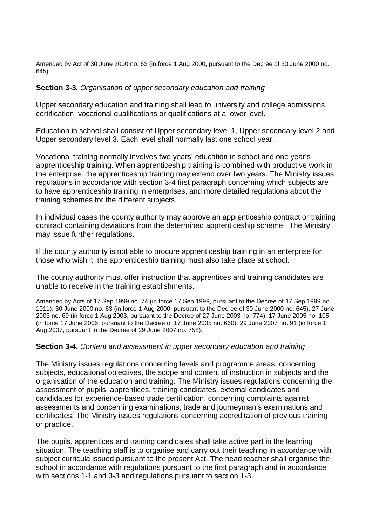Amended by Act of 30 June 2000 no. 63 (in force 1 Aug 2000, pursuant to the Decree of 30 June 2000 no. 645).

### **Section 3-3***. Organisation of upper secondary education and training*

Upper secondary education and training shall lead to university and college admissions certification, vocational qualifications or qualifications at a lower level.

Education in school shall consist of Upper secondary level 1, Upper secondary level 2 and Upper secondary level 3. Each level shall normally last one school year.

Vocational training normally involves two years' education in school and one year's apprenticeship training. When apprenticeship training is combined with productive work in the enterprise, the apprenticeship training may extend over two years. The Ministry issues regulations in accordance with section 3-4 first paragraph concerning which subjects are to have apprenticeship training in enterprises, and more detailed regulations about the training schemes for the different subjects.

In individual cases the county authority may approve an apprenticeship contract or training contract containing deviations from the determined apprenticeship scheme. The Ministry may issue further regulations.

If the county authority is not able to procure apprenticeship training in an enterprise for those who wish it, the apprenticeship training must also take place at school.

The county authority must offer instruction that apprentices and training candidates are unable to receive in the training establishments.

Amended by Acts of 17 Sep 1999 no. 74 (in force 17 Sep 1999, pursuant to the Decree of 17 Sep 1999 no. 1011), 30 June 2000 no. 63 (in force 1 Aug 2000, pursuant to the Decree of 30 June 2000 no. 645), 27 June 2003 no. 69 (in force 1 Aug 2003, pursuant to the Decree of 27 June 2003 no. 774), 17 June 2005 no. 105 (in force 17 June 2005, pursuant to the Decree of 17 June 2005 no. 660), 29 June 2007 no. 91 (in force 1 Aug 2007, pursuant to the Decree of 29 June 2007 no. 758).

### **Section 3-4.** *Content and assessment in upper secondary education and training*

The Ministry issues regulations concerning levels and programme areas, concerning subjects, educational objectives, the scope and content of instruction in subjects and the organisation of the education and training. The Ministry issues regulations concerning the assessment of pupils, apprentices, training candidates, external candidates and candidates for experience-based trade certification, concerning complaints against assessments and concerning examinations, trade and journeyman's examinations and certificates. The Ministry issues regulations concerning accreditation of previous training or practice.

The pupils, apprentices and training candidates shall take active part in the learning situation. The teaching staff is to organise and carry out their teaching in accordance with subject curricula issued pursuant to the present Act. The head teacher shall organise the school in accordance with regulations pursuant to the first paragraph and in accordance with sections 1-1 and 3-3 and regulations pursuant to section 1-3.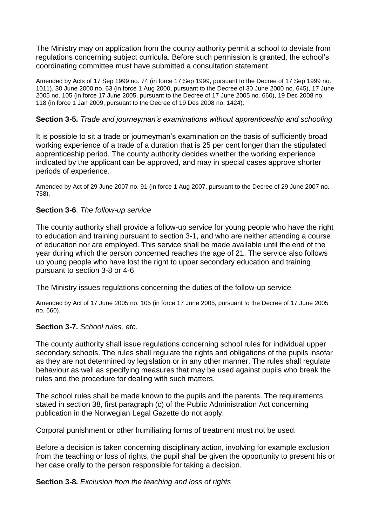The Ministry may on application from the county authority permit a school to deviate from regulations concerning subject curricula. Before such permission is granted, the school's coordinating committee must have submitted a consultation statement.

Amended by Acts of 17 Sep 1999 no. 74 (in force 17 Sep 1999, pursuant to the Decree of 17 Sep 1999 no. 1011), 30 June 2000 no. 63 (in force 1 Aug 2000, pursuant to the Decree of 30 June 2000 no. 645), 17 June 2005 no. 105 (in force 17 June 2005, pursuant to the Decree of 17 June 2005 no. 660), 19 Dec 2008 no. 118 (in force 1 Jan 2009, pursuant to the Decree of 19 Des 2008 no. 1424).

## **Section 3-5.** *Trade and journeyman's examinations without apprenticeship and schooling*

It is possible to sit a trade or journeyman's examination on the basis of sufficiently broad working experience of a trade of a duration that is 25 per cent longer than the stipulated apprenticeship period. The county authority decides whether the working experience indicated by the applicant can be approved, and may in special cases approve shorter periods of experience.

Amended by Act of 29 June 2007 no. 91 (in force 1 Aug 2007, pursuant to the Decree of 29 June 2007 no. 758).

# **Section 3-6**. *The follow-up service*

The county authority shall provide a follow-up service for young people who have the right to education and training pursuant to section 3-1, and who are neither attending a course of education nor are employed. This service shall be made available until the end of the year during which the person concerned reaches the age of 21. The service also follows up young people who have lost the right to upper secondary education and training pursuant to section 3-8 or 4-6.

The Ministry issues regulations concerning the duties of the follow-up service.

Amended by Act of 17 June 2005 no. 105 (in force 17 June 2005, pursuant to the Decree of 17 June 2005 no. 660).

### **Section 3-7.** *School rules, etc.*

The county authority shall issue regulations concerning school rules for individual upper secondary schools. The rules shall regulate the rights and obligations of the pupils insofar as they are not determined by legislation or in any other manner. The rules shall regulate behaviour as well as specifying measures that may be used against pupils who break the rules and the procedure for dealing with such matters.

The school rules shall be made known to the pupils and the parents. The requirements stated in section 38, first paragraph (c) of the Public Administration Act concerning publication in the Norwegian Legal Gazette do not apply.

Corporal punishment or other humiliating forms of treatment must not be used.

Before a decision is taken concerning disciplinary action, involving for example exclusion from the teaching or loss of rights, the pupil shall be given the opportunity to present his or her case orally to the person responsible for taking a decision.

**Section 3-8.** *Exclusion from the teaching and loss of rights*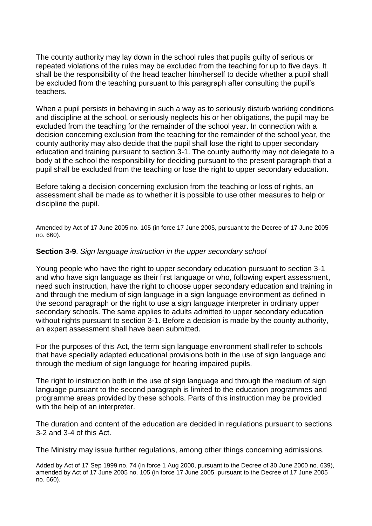The county authority may lay down in the school rules that pupils guilty of serious or repeated violations of the rules may be excluded from the teaching for up to five days. It shall be the responsibility of the head teacher him/herself to decide whether a pupil shall be excluded from the teaching pursuant to this paragraph after consulting the pupil's teachers.

When a pupil persists in behaving in such a way as to seriously disturb working conditions and discipline at the school, or seriously neglects his or her obligations, the pupil may be excluded from the teaching for the remainder of the school year. In connection with a decision concerning exclusion from the teaching for the remainder of the school year, the county authority may also decide that the pupil shall lose the right to upper secondary education and training pursuant to section 3-1. The county authority may not delegate to a body at the school the responsibility for deciding pursuant to the present paragraph that a pupil shall be excluded from the teaching or lose the right to upper secondary education.

Before taking a decision concerning exclusion from the teaching or loss of rights, an assessment shall be made as to whether it is possible to use other measures to help or discipline the pupil.

Amended by Act of 17 June 2005 no. 105 (in force 17 June 2005, pursuant to the Decree of 17 June 2005 no. 660).

### **Section 3-9**. *Sign language instruction in the upper secondary school*

Young people who have the right to upper secondary education pursuant to section 3-1 and who have sign language as their first language or who, following expert assessment, need such instruction, have the right to choose upper secondary education and training in and through the medium of sign language in a sign language environment as defined in the second paragraph or the right to use a sign language interpreter in ordinary upper secondary schools. The same applies to adults admitted to upper secondary education without rights pursuant to section 3-1. Before a decision is made by the county authority, an expert assessment shall have been submitted.

For the purposes of this Act, the term sign language environment shall refer to schools that have specially adapted educational provisions both in the use of sign language and through the medium of sign language for hearing impaired pupils.

The right to instruction both in the use of sign language and through the medium of sign language pursuant to the second paragraph is limited to the education programmes and programme areas provided by these schools. Parts of this instruction may be provided with the help of an interpreter.

The duration and content of the education are decided in regulations pursuant to sections 3-2 and 3-4 of this Act.

The Ministry may issue further regulations, among other things concerning admissions.

Added by Act of 17 Sep 1999 no. 74 (in force 1 Aug 2000, pursuant to the Decree of 30 June 2000 no. 639), amended by Act of 17 June 2005 no. 105 (in force 17 June 2005, pursuant to the Decree of 17 June 2005 no. 660).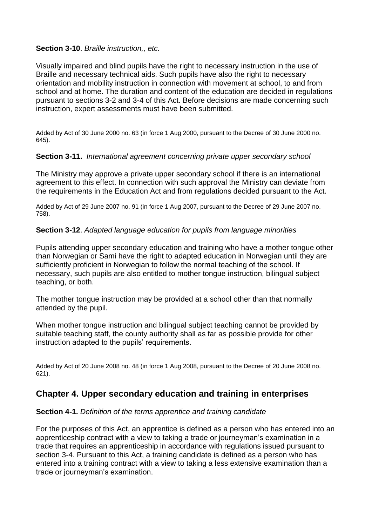## **Section 3-10**. *Braille instruction,, etc.*

Visually impaired and blind pupils have the right to necessary instruction in the use of Braille and necessary technical aids. Such pupils have also the right to necessary orientation and mobility instruction in connection with movement at school, to and from school and at home. The duration and content of the education are decided in regulations pursuant to sections 3-2 and 3-4 of this Act. Before decisions are made concerning such instruction, expert assessments must have been submitted.

Added by Act of 30 June 2000 no. 63 (in force 1 Aug 2000, pursuant to the Decree of 30 June 2000 no. 645).

## **Section 3-11.** *International agreement concerning private upper secondary school*

The Ministry may approve a private upper secondary school if there is an international agreement to this effect. In connection with such approval the Ministry can deviate from the requirements in the Education Act and from regulations decided pursuant to the Act.

Added by Act of 29 June 2007 no. 91 (in force 1 Aug 2007, pursuant to the Decree of 29 June 2007 no. 758).

## **Section 3-12**. *Adapted language education for pupils from language minorities*

Pupils attending upper secondary education and training who have a mother tongue other than Norwegian or Sami have the right to adapted education in Norwegian until they are sufficiently proficient in Norwegian to follow the normal teaching of the school. If necessary, such pupils are also entitled to mother tongue instruction, bilingual subject teaching, or both.

The mother tongue instruction may be provided at a school other than that normally attended by the pupil.

When mother tongue instruction and bilingual subject teaching cannot be provided by suitable teaching staff, the county authority shall as far as possible provide for other instruction adapted to the pupils' requirements.

Added by Act of 20 June 2008 no. 48 (in force 1 Aug 2008, pursuant to the Decree of 20 June 2008 no. 621).

# **Chapter 4. Upper secondary education and training in enterprises**

### **Section 4-1.** *Definition of the terms apprentice and training candidate*

For the purposes of this Act, an apprentice is defined as a person who has entered into an apprenticeship contract with a view to taking a trade or journeyman's examination in a trade that requires an apprenticeship in accordance with regulations issued pursuant to section 3-4. Pursuant to this Act, a training candidate is defined as a person who has entered into a training contract with a view to taking a less extensive examination than a trade or journeyman's examination.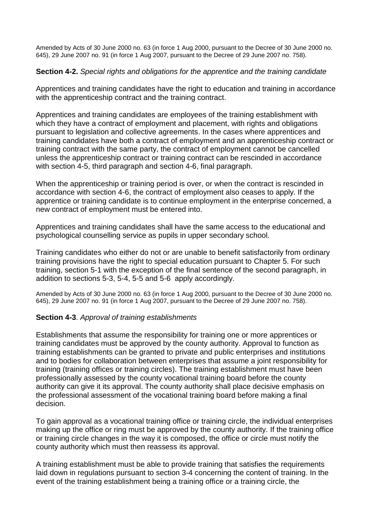Amended by Acts of 30 June 2000 no. 63 (in force 1 Aug 2000, pursuant to the Decree of 30 June 2000 no. 645), 29 June 2007 no. 91 (in force 1 Aug 2007, pursuant to the Decree of 29 June 2007 no. 758).

### **Section 4-2.** *Special rights and obligations for the apprentice and the training candidate*

Apprentices and training candidates have the right to education and training in accordance with the apprenticeship contract and the training contract.

Apprentices and training candidates are employees of the training establishment with which they have a contract of employment and placement, with rights and obligations pursuant to legislation and collective agreements. In the cases where apprentices and training candidates have both a contract of employment and an apprenticeship contract or training contract with the same party, the contract of employment cannot be cancelled unless the apprenticeship contract or training contract can be rescinded in accordance with section 4-5, third paragraph and section 4-6, final paragraph.

When the apprenticeship or training period is over, or when the contract is rescinded in accordance with section 4-6, the contract of employment also ceases to apply. If the apprentice or training candidate is to continue employment in the enterprise concerned, a new contract of employment must be entered into.

Apprentices and training candidates shall have the same access to the educational and psychological counselling service as pupils in upper secondary school.

Training candidates who either do not or are unable to benefit satisfactorily from ordinary training provisions have the right to special education pursuant to Chapter 5. For such training, section 5-1 with the exception of the final sentence of the second paragraph, in addition to sections 5-3, 5-4, 5-5 and 5-6 apply accordingly.

Amended by Acts of 30 June 2000 no. 63 (in force 1 Aug 2000, pursuant to the Decree of 30 June 2000 no. 645), 29 June 2007 no. 91 (in force 1 Aug 2007, pursuant to the Decree of 29 June 2007 no. 758).

### **Section 4-3**. *Approval of training establishments*

Establishments that assume the responsibility for training one or more apprentices or training candidates must be approved by the county authority. Approval to function as training establishments can be granted to private and public enterprises and institutions and to bodies for collaboration between enterprises that assume a joint responsibility for training (training offices or training circles). The training establishment must have been professionally assessed by the county vocational training board before the county authority can give it its approval. The county authority shall place decisive emphasis on the professional assessment of the vocational training board before making a final decision.

To gain approval as a vocational training office or training circle, the individual enterprises making up the office or ring must be approved by the county authority. If the training office or training circle changes in the way it is composed, the office or circle must notify the county authority which must then reassess its approval.

A training establishment must be able to provide training that satisfies the requirements laid down in regulations pursuant to section 3-4 concerning the content of training. In the event of the training establishment being a training office or a training circle, the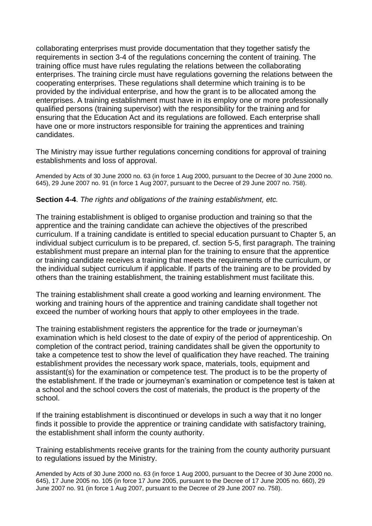collaborating enterprises must provide documentation that they together satisfy the requirements in section 3-4 of the regulations concerning the content of training. The training office must have rules regulating the relations between the collaborating enterprises. The training circle must have regulations governing the relations between the cooperating enterprises. These regulations shall determine which training is to be provided by the individual enterprise, and how the grant is to be allocated among the enterprises. A training establishment must have in its employ one or more professionally qualified persons (training supervisor) with the responsibility for the training and for ensuring that the Education Act and its regulations are followed. Each enterprise shall have one or more instructors responsible for training the apprentices and training candidates.

The Ministry may issue further regulations concerning conditions for approval of training establishments and loss of approval.

Amended by Acts of 30 June 2000 no. 63 (in force 1 Aug 2000, pursuant to the Decree of 30 June 2000 no. 645), 29 June 2007 no. 91 (in force 1 Aug 2007, pursuant to the Decree of 29 June 2007 no. 758).

### **Section 4-4**. *The rights and obligations of the training establishment, etc.*

The training establishment is obliged to organise production and training so that the apprentice and the training candidate can achieve the objectives of the prescribed curriculum. If a training candidate is entitled to special education pursuant to Chapter 5, an individual subject curriculum is to be prepared, cf. section 5-5, first paragraph. The training establishment must prepare an internal plan for the training to ensure that the apprentice or training candidate receives a training that meets the requirements of the curriculum, or the individual subject curriculum if applicable. If parts of the training are to be provided by others than the training establishment, the training establishment must facilitate this.

The training establishment shall create a good working and learning environment. The working and training hours of the apprentice and training candidate shall together not exceed the number of working hours that apply to other employees in the trade.

The training establishment registers the apprentice for the trade or journeyman's examination which is held closest to the date of expiry of the period of apprenticeship. On completion of the contract period, training candidates shall be given the opportunity to take a competence test to show the level of qualification they have reached. The training establishment provides the necessary work space, materials, tools, equipment and assistant(s) for the examination or competence test. The product is to be the property of the establishment. If the trade or journeyman's examination or competence test is taken at a school and the school covers the cost of materials, the product is the property of the school.

If the training establishment is discontinued or develops in such a way that it no longer finds it possible to provide the apprentice or training candidate with satisfactory training, the establishment shall inform the county authority.

Training establishments receive grants for the training from the county authority pursuant to regulations issued by the Ministry.

Amended by Acts of 30 June 2000 no. 63 (in force 1 Aug 2000, pursuant to the Decree of 30 June 2000 no. 645), 17 June 2005 no. 105 (in force 17 June 2005, pursuant to the Decree of 17 June 2005 no. 660), 29 June 2007 no. 91 (in force 1 Aug 2007, pursuant to the Decree of 29 June 2007 no. 758).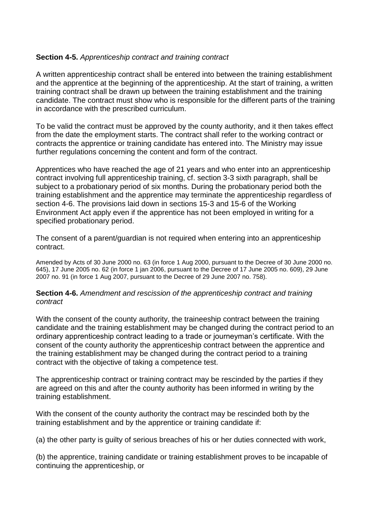# **Section 4-5.** *Apprenticeship contract and training contract*

A written apprenticeship contract shall be entered into between the training establishment and the apprentice at the beginning of the apprenticeship. At the start of training, a written training contract shall be drawn up between the training establishment and the training candidate. The contract must show who is responsible for the different parts of the training in accordance with the prescribed curriculum.

To be valid the contract must be approved by the county authority, and it then takes effect from the date the employment starts. The contract shall refer to the working contract or contracts the apprentice or training candidate has entered into. The Ministry may issue further regulations concerning the content and form of the contract.

Apprentices who have reached the age of 21 years and who enter into an apprenticeship contract involving full apprenticeship training, cf. section 3-3 sixth paragraph, shall be subject to a probationary period of six months. During the probationary period both the training establishment and the apprentice may terminate the apprenticeship regardless of section 4-6. The provisions laid down in sections 15-3 and 15-6 of the Working Environment Act apply even if the apprentice has not been employed in writing for a specified probationary period.

The consent of a parent/guardian is not required when entering into an apprenticeship contract.

Amended by Acts of 30 June 2000 no. 63 (in force 1 Aug 2000, pursuant to the Decree of 30 June 2000 no. 645), 17 June 2005 no. 62 (in force 1 jan 2006, pursuant to the Decree of 17 June 2005 no. 609), 29 June 2007 no. 91 (in force 1 Aug 2007, pursuant to the Decree of 29 June 2007 no. 758).

### **Section 4-6.** *Amendment and rescission of the apprenticeship contract and training contract*

With the consent of the county authority, the traineeship contract between the training candidate and the training establishment may be changed during the contract period to an ordinary apprenticeship contract leading to a trade or journeyman's certificate. With the consent of the county authority the apprenticeship contract between the apprentice and the training establishment may be changed during the contract period to a training contract with the objective of taking a competence test.

The apprenticeship contract or training contract may be rescinded by the parties if they are agreed on this and after the county authority has been informed in writing by the training establishment.

With the consent of the county authority the contract may be rescinded both by the training establishment and by the apprentice or training candidate if:

(a) the other party is guilty of serious breaches of his or her duties connected with work,

(b) the apprentice, training candidate or training establishment proves to be incapable of continuing the apprenticeship, or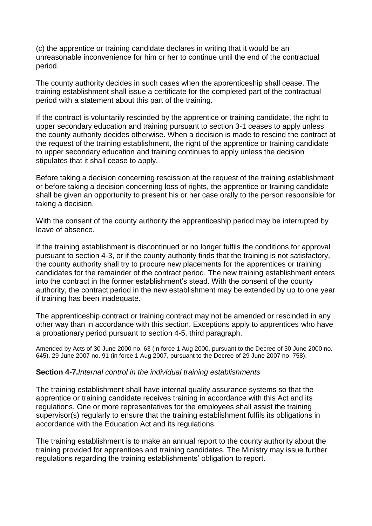(c) the apprentice or training candidate declares in writing that it would be an unreasonable inconvenience for him or her to continue until the end of the contractual period.

The county authority decides in such cases when the apprenticeship shall cease. The training establishment shall issue a certificate for the completed part of the contractual period with a statement about this part of the training.

If the contract is voluntarily rescinded by the apprentice or training candidate, the right to upper secondary education and training pursuant to section 3-1 ceases to apply unless the county authority decides otherwise. When a decision is made to rescind the contract at the request of the training establishment, the right of the apprentice or training candidate to upper secondary education and training continues to apply unless the decision stipulates that it shall cease to apply.

Before taking a decision concerning rescission at the request of the training establishment or before taking a decision concerning loss of rights, the apprentice or training candidate shall be given an opportunity to present his or her case orally to the person responsible for taking a decision.

With the consent of the county authority the apprenticeship period may be interrupted by leave of absence.

If the training establishment is discontinued or no longer fulfils the conditions for approval pursuant to section 4-3, or if the county authority finds that the training is not satisfactory, the county authority shall try to procure new placements for the apprentices or training candidates for the remainder of the contract period. The new training establishment enters into the contract in the former establishment's stead. With the consent of the county authority, the contract period in the new establishment may be extended by up to one year if training has been inadequate.

The apprenticeship contract or training contract may not be amended or rescinded in any other way than in accordance with this section. Exceptions apply to apprentices who have a probationary period pursuant to section 4-5, third paragraph.

Amended by Acts of 30 June 2000 no. 63 (in force 1 Aug 2000, pursuant to the Decree of 30 June 2000 no. 645), 29 June 2007 no. 91 (in force 1 Aug 2007, pursuant to the Decree of 29 June 2007 no. 758).

### **Section 4-7.***Internal control in the individual training establishments*

The training establishment shall have internal quality assurance systems so that the apprentice or training candidate receives training in accordance with this Act and its regulations. One or more representatives for the employees shall assist the training supervisor(s) regularly to ensure that the training establishment fulfils its obligations in accordance with the Education Act and its regulations.

The training establishment is to make an annual report to the county authority about the training provided for apprentices and training candidates. The Ministry may issue further regulations regarding the training establishments' obligation to report.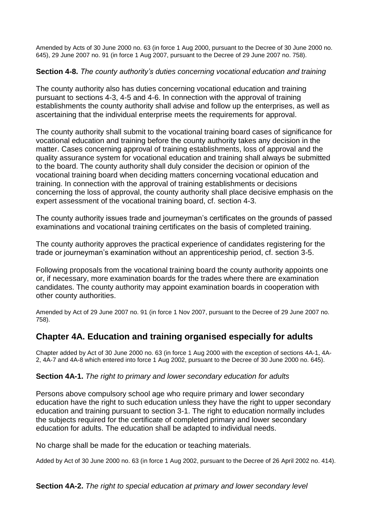Amended by Acts of 30 June 2000 no. 63 (in force 1 Aug 2000, pursuant to the Decree of 30 June 2000 no. 645), 29 June 2007 no. 91 (in force 1 Aug 2007, pursuant to the Decree of 29 June 2007 no. 758).

## **Section 4-8.** *The county authority's duties concerning vocational education and training*

The county authority also has duties concerning vocational education and training pursuant to sections 4-3, 4-5 and 4-6. In connection with the approval of training establishments the county authority shall advise and follow up the enterprises, as well as ascertaining that the individual enterprise meets the requirements for approval.

The county authority shall submit to the vocational training board cases of significance for vocational education and training before the county authority takes any decision in the matter. Cases concerning approval of training establishments, loss of approval and the quality assurance system for vocational education and training shall always be submitted to the board. The county authority shall duly consider the decision or opinion of the vocational training board when deciding matters concerning vocational education and training. In connection with the approval of training establishments or decisions concerning the loss of approval, the county authority shall place decisive emphasis on the expert assessment of the vocational training board, cf. section 4-3.

The county authority issues trade and journeyman's certificates on the grounds of passed examinations and vocational training certificates on the basis of completed training.

The county authority approves the practical experience of candidates registering for the trade or journeyman's examination without an apprenticeship period, cf. section 3-5.

Following proposals from the vocational training board the county authority appoints one or, if necessary, more examination boards for the trades where there are examination candidates. The county authority may appoint examination boards in cooperation with other county authorities.

Amended by Act of 29 June 2007 no. 91 (in force 1 Nov 2007, pursuant to the Decree of 29 June 2007 no. 758).

# **Chapter 4A. Education and training organised especially for adults**

Chapter added by Act of 30 June 2000 no. 63 (in force 1 Aug 2000 with the exception of sections 4A-1, 4A-2, 4A-7 and 4A-8 which entered into force 1 Aug 2002, pursuant to the Decree of 30 June 2000 no. 645).

### **Section 4A-1.** *The right to primary and lower secondary education for adults*

Persons above compulsory school age who require primary and lower secondary education have the right to such education unless they have the right to upper secondary education and training pursuant to section 3-1. The right to education normally includes the subjects required for the certificate of completed primary and lower secondary education for adults. The education shall be adapted to individual needs.

No charge shall be made for the education or teaching materials.

Added by Act of 30 June 2000 no. 63 (in force 1 Aug 2002, pursuant to the Decree of 26 April 2002 no. 414).

**Section 4A-2.** *The right to special education at primary and lower secondary level*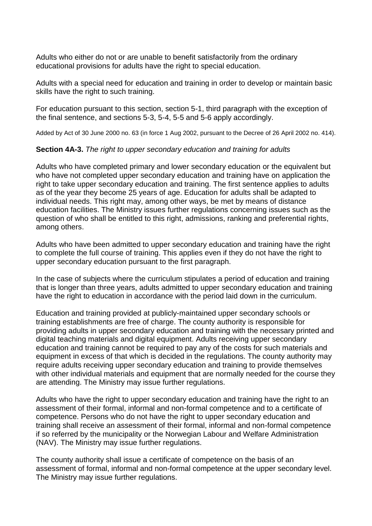Adults who either do not or are unable to benefit satisfactorily from the ordinary educational provisions for adults have the right to special education.

Adults with a special need for education and training in order to develop or maintain basic skills have the right to such training.

For education pursuant to this section, section 5-1, third paragraph with the exception of the final sentence, and sections 5-3, 5-4, 5-5 and 5-6 apply accordingly.

Added by Act of 30 June 2000 no. 63 (in force 1 Aug 2002, pursuant to the Decree of 26 April 2002 no. 414).

### **Section 4A-3.** *The right to upper secondary education and training for adults*

Adults who have completed primary and lower secondary education or the equivalent but who have not completed upper secondary education and training have on application the right to take upper secondary education and training. The first sentence applies to adults as of the year they become 25 years of age. Education for adults shall be adapted to individual needs. This right may, among other ways, be met by means of distance education facilities. The Ministry issues further regulations concerning issues such as the question of who shall be entitled to this right, admissions, ranking and preferential rights, among others.

Adults who have been admitted to upper secondary education and training have the right to complete the full course of training. This applies even if they do not have the right to upper secondary education pursuant to the first paragraph.

In the case of subjects where the curriculum stipulates a period of education and training that is longer than three years, adults admitted to upper secondary education and training have the right to education in accordance with the period laid down in the curriculum.

Education and training provided at publicly-maintained upper secondary schools or training establishments are free of charge. The county authority is responsible for providing adults in upper secondary education and training with the necessary printed and digital teaching materials and digital equipment. Adults receiving upper secondary education and training cannot be required to pay any of the costs for such materials and equipment in excess of that which is decided in the regulations. The county authority may require adults receiving upper secondary education and training to provide themselves with other individual materials and equipment that are normally needed for the course they are attending. The Ministry may issue further regulations.

Adults who have the right to upper secondary education and training have the right to an assessment of their formal, informal and non-formal competence and to a certificate of competence. Persons who do not have the right to upper secondary education and training shall receive an assessment of their formal, informal and non-formal competence if so referred by the municipality or the Norwegian Labour and Welfare Administration (NAV). The Ministry may issue further regulations.

The county authority shall issue a certificate of competence on the basis of an assessment of formal, informal and non-formal competence at the upper secondary level. The Ministry may issue further regulations.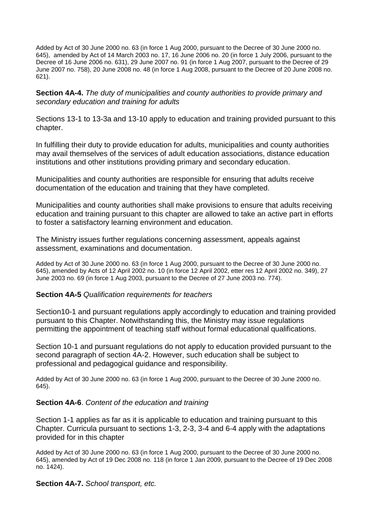Added by Act of 30 June 2000 no. 63 (in force 1 Aug 2000, pursuant to the Decree of 30 June 2000 no. 645), amended by Act of 14 March 2003 no. 17, 16 June 2006 no. 20 (in force 1 July 2006, pursuant to the Decree of 16 June 2006 no. 631), 29 June 2007 no. 91 (in force 1 Aug 2007, pursuant to the Decree of 29 June 2007 no. 758), 20 June 2008 no. 48 (in force 1 Aug 2008, pursuant to the Decree of 20 June 2008 no. 621).

**Section 4A-4.** *The duty of municipalities and county authorities to provide primary and secondary education and training for adults*

Sections 13-1 to 13-3a and 13-10 apply to education and training provided pursuant to this chapter.

In fulfilling their duty to provide education for adults, municipalities and county authorities may avail themselves of the services of adult education associations, distance education institutions and other institutions providing primary and secondary education.

Municipalities and county authorities are responsible for ensuring that adults receive documentation of the education and training that they have completed.

Municipalities and county authorities shall make provisions to ensure that adults receiving education and training pursuant to this chapter are allowed to take an active part in efforts to foster a satisfactory learning environment and education.

The Ministry issues further regulations concerning assessment, appeals against assessment, examinations and documentation.

Added by Act of 30 June 2000 no. 63 (in force 1 Aug 2000, pursuant to the Decree of 30 June 2000 no. 645), amended by Acts of 12 April 2002 no. 10 (in force 12 April 2002, etter res 12 April 2002 no. 349), 27 June 2003 no. 69 (in force 1 Aug 2003, pursuant to the Decree of 27 June 2003 no. 774).

### **Section 4A-5** *Qualification requirements for teachers*

Section10-1 and pursuant regulations apply accordingly to education and training provided pursuant to this Chapter. Notwithstanding this, the Ministry may issue regulations permitting the appointment of teaching staff without formal educational qualifications.

Section 10-1 and pursuant regulations do not apply to education provided pursuant to the second paragraph of section 4A-2. However, such education shall be subject to professional and pedagogical guidance and responsibility.

Added by Act of 30 June 2000 no. 63 (in force 1 Aug 2000, pursuant to the Decree of 30 June 2000 no. 645).

#### **Section 4A-6**. *Content of the education and training*

Section 1-1 applies as far as it is applicable to education and training pursuant to this Chapter. Curricula pursuant to sections 1-3, 2-3, 3-4 and 6-4 apply with the adaptations provided for in this chapter

Added by Act of 30 June 2000 no. 63 (in force 1 Aug 2000, pursuant to the Decree of 30 June 2000 no. 645), amended by Act of 19 Dec 2008 no. 118 (in force 1 Jan 2009, pursuant to the Decree of 19 Dec 2008 no. 1424).

### **Section 4A-7.** *School transport, etc.*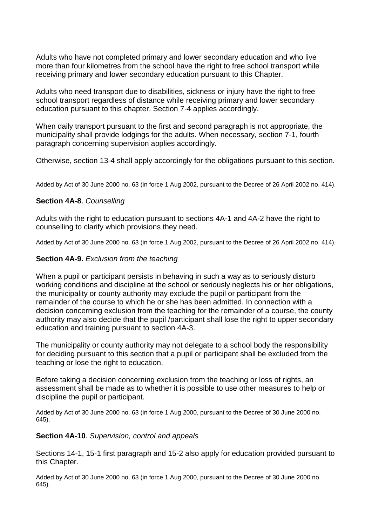Adults who have not completed primary and lower secondary education and who live more than four kilometres from the school have the right to free school transport while receiving primary and lower secondary education pursuant to this Chapter.

Adults who need transport due to disabilities, sickness or injury have the right to free school transport regardless of distance while receiving primary and lower secondary education pursuant to this chapter. Section 7-4 applies accordingly.

When daily transport pursuant to the first and second paragraph is not appropriate, the municipality shall provide lodgings for the adults. When necessary, section 7-1, fourth paragraph concerning supervision applies accordingly.

Otherwise, section 13-4 shall apply accordingly for the obligations pursuant to this section.

Added by Act of 30 June 2000 no. 63 (in force 1 Aug 2002, pursuant to the Decree of 26 April 2002 no. 414).

### **Section 4A-8**. *Counselling*

Adults with the right to education pursuant to sections 4A-1 and 4A-2 have the right to counselling to clarify which provisions they need.

Added by Act of 30 June 2000 no. 63 (in force 1 Aug 2002, pursuant to the Decree of 26 April 2002 no. 414).

### **Section 4A-9.** *Exclusion from the teaching*

When a pupil or participant persists in behaving in such a way as to seriously disturb working conditions and discipline at the school or seriously neglects his or her obligations, the municipality or county authority may exclude the pupil or participant from the remainder of the course to which he or she has been admitted. In connection with a decision concerning exclusion from the teaching for the remainder of a course, the county authority may also decide that the pupil /participant shall lose the right to upper secondary education and training pursuant to section 4A-3.

The municipality or county authority may not delegate to a school body the responsibility for deciding pursuant to this section that a pupil or participant shall be excluded from the teaching or lose the right to education.

Before taking a decision concerning exclusion from the teaching or loss of rights, an assessment shall be made as to whether it is possible to use other measures to help or discipline the pupil or participant.

Added by Act of 30 June 2000 no. 63 (in force 1 Aug 2000, pursuant to the Decree of 30 June 2000 no. 645).

#### **Section 4A-10**. *Supervision, control and appeals*

Sections 14-1, 15-1 first paragraph and 15-2 also apply for education provided pursuant to this Chapter.

Added by Act of 30 June 2000 no. 63 (in force 1 Aug 2000, pursuant to the Decree of 30 June 2000 no. 645).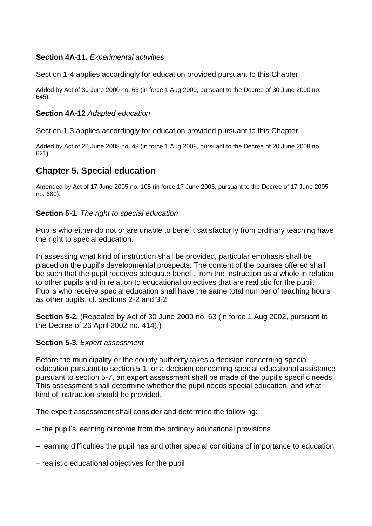# **Section 4A-11.** *Experimental activities*

Section 1-4 applies accordingly for education provided pursuant to this Chapter.

Added by Act of 30 June 2000 no. 63 (in force 1 Aug 2000, pursuant to the Decree of 30 June 2000 no. 645).

## **Section 4A-12** *Adapted education*

Section 1-3 applies accordingly for education provided pursuant to this Chapter.

Added by Act of 20 June 2008 no. 48 (in force 1 Aug 2008, pursuant to the Decree of 20 June 2008 no. 621).

# **Chapter 5. Special education**

Amended by Act of 17 June 2005 no. 105 (in force 17 June 2005, pursuant to the Decree of 17 June 2005 no. 660).

### **Section 5-1***. The right to special education*

Pupils who either do not or are unable to benefit satisfactorily from ordinary teaching have the right to special education.

In assessing what kind of instruction shall be provided, particular emphasis shall be placed on the pupil's developmental prospects. The content of the courses offered shall be such that the pupil receives adequate benefit from the instruction as a whole in relation to other pupils and in relation to educational objectives that are realistic for the pupil. Pupils who receive special education shall have the same total number of teaching hours as other pupils, cf. sections 2-2 and 3-2.

**Section 5-2.** (Repealed by Act of 30 June 2000 no. 63 (in force 1 Aug 2002, pursuant to the Decree of 26 April 2002 no. 414).)

### **Section 5-3.** *Expert assessment*

Before the municipality or the county authority takes a decision concerning special education pursuant to section 5-1, or a decision concerning special educational assistance pursuant to section 5-7, an expert assessment shall be made of the pupil's specific needs. This assessment shall determine whether the pupil needs special education, and what kind of instruction should be provided.

The expert assessment shall consider and determine the following:

- the pupil's learning outcome from the ordinary educational provisions
- learning difficulties the pupil has and other special conditions of importance to education
- realistic educational objectives for the pupil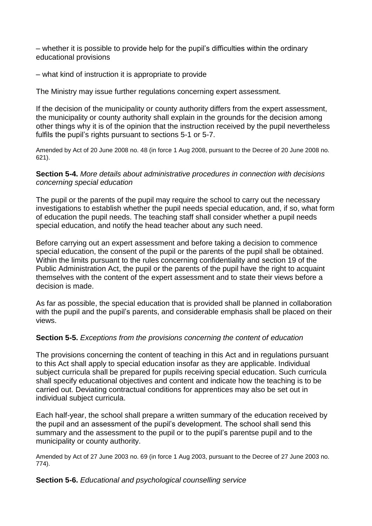– whether it is possible to provide help for the pupil's difficulties within the ordinary educational provisions

– what kind of instruction it is appropriate to provide

The Ministry may issue further regulations concerning expert assessment.

If the decision of the municipality or county authority differs from the expert assessment, the municipality or county authority shall explain in the grounds for the decision among other things why it is of the opinion that the instruction received by the pupil nevertheless fulfils the pupil's rights pursuant to sections 5-1 or 5-7.

Amended by Act of 20 June 2008 no. 48 (in force 1 Aug 2008, pursuant to the Decree of 20 June 2008 no. 621).

### **Section 5-4.** *More details about administrative procedures in connection with decisions concerning special education*

The pupil or the parents of the pupil may require the school to carry out the necessary investigations to establish whether the pupil needs special education, and, if so, what form of education the pupil needs. The teaching staff shall consider whether a pupil needs special education, and notify the head teacher about any such need.

Before carrying out an expert assessment and before taking a decision to commence special education, the consent of the pupil or the parents of the pupil shall be obtained. Within the limits pursuant to the rules concerning confidentiality and section 19 of the Public Administration Act, the pupil or the parents of the pupil have the right to acquaint themselves with the content of the expert assessment and to state their views before a decision is made.

As far as possible, the special education that is provided shall be planned in collaboration with the pupil and the pupil's parents, and considerable emphasis shall be placed on their views.

# **Section 5-5.** *Exceptions from the provisions concerning the content of education*

The provisions concerning the content of teaching in this Act and in regulations pursuant to this Act shall apply to special education insofar as they are applicable. Individual subject curricula shall be prepared for pupils receiving special education. Such curricula shall specify educational objectives and content and indicate how the teaching is to be carried out. Deviating contractual conditions for apprentices may also be set out in individual subject curricula.

Each half-year, the school shall prepare a written summary of the education received by the pupil and an assessment of the pupil's development. The school shall send this summary and the assessment to the pupil or to the pupil's parentse pupil and to the municipality or county authority.

Amended by Act of 27 June 2003 no. 69 (in force 1 Aug 2003, pursuant to the Decree of 27 June 2003 no. 774).

### **Section 5-6.** *Educational and psychological counselling service*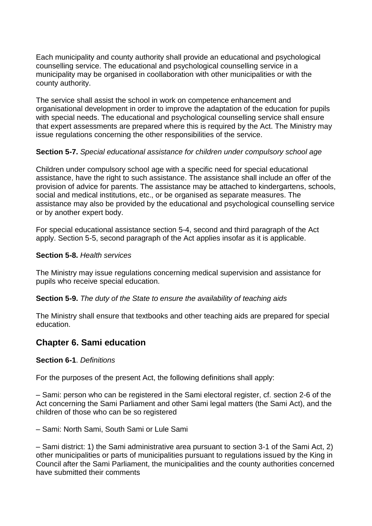Each municipality and county authority shall provide an educational and psychological counselling service. The educational and psychological counselling service in a municipality may be organised in coollaboration with other municipalities or with the county authority.

The service shall assist the school in work on competence enhancement and organisational development in order to improve the adaptation of the education for pupils with special needs. The educational and psychological counselling service shall ensure that expert assessments are prepared where this is required by the Act. The Ministry may issue regulations concerning the other responsibilities of the service.

# **Section 5-7.** *Special educational assistance for children under compulsory school age*

Children under compulsory school age with a specific need for special educational assistance, have the right to such assistance. The assistance shall include an offer of the provision of advice for parents. The assistance may be attached to kindergartens, schools, social and medical institutions, etc., or be organised as separate measures. The assistance may also be provided by the educational and psychological counselling service or by another expert body.

For special educational assistance section 5-4, second and third paragraph of the Act apply. Section 5-5, second paragraph of the Act applies insofar as it is applicable.

## **Section 5-8.** *Health services*

The Ministry may issue regulations concerning medical supervision and assistance for pupils who receive special education.

# **Section 5-9.** *The duty of the State to ensure the availability of teaching aids*

The Ministry shall ensure that textbooks and other teaching aids are prepared for special education.

# **Chapter 6. Sami education**

### **Section 6-1**. *Definitions*

For the purposes of the present Act, the following definitions shall apply:

– Sami: person who can be registered in the Sami electoral register, cf. section 2-6 of the Act concerning the Sami Parliament and other Sami legal matters (the Sami Act), and the children of those who can be so registered

– Sami: North Sami, South Sami or Lule Sami

– Sami district: 1) the Sami administrative area pursuant to section 3-1 of the Sami Act, 2) other municipalities or parts of municipalities pursuant to regulations issued by the King in Council after the Sami Parliament, the municipalities and the county authorities concerned have submitted their comments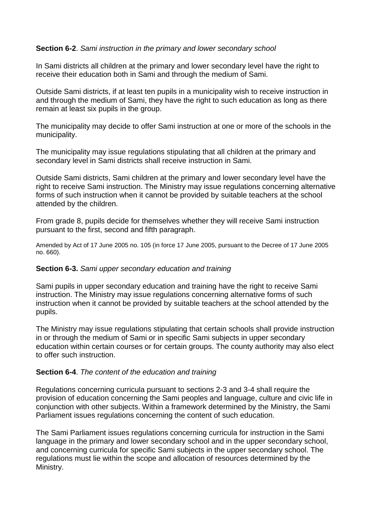## **Section 6-2**. *Sami instruction in the primary and lower secondary school*

In Sami districts all children at the primary and lower secondary level have the right to receive their education both in Sami and through the medium of Sami.

Outside Sami districts, if at least ten pupils in a municipality wish to receive instruction in and through the medium of Sami, they have the right to such education as long as there remain at least six pupils in the group.

The municipality may decide to offer Sami instruction at one or more of the schools in the municipality.

The municipality may issue regulations stipulating that all children at the primary and secondary level in Sami districts shall receive instruction in Sami.

Outside Sami districts, Sami children at the primary and lower secondary level have the right to receive Sami instruction. The Ministry may issue regulations concerning alternative forms of such instruction when it cannot be provided by suitable teachers at the school attended by the children.

From grade 8, pupils decide for themselves whether they will receive Sami instruction pursuant to the first, second and fifth paragraph.

Amended by Act of 17 June 2005 no. 105 (in force 17 June 2005, pursuant to the Decree of 17 June 2005 no. 660).

### **Section 6-3.** *Sami upper secondary education and training*

Sami pupils in upper secondary education and training have the right to receive Sami instruction. The Ministry may issue regulations concerning alternative forms of such instruction when it cannot be provided by suitable teachers at the school attended by the pupils.

The Ministry may issue regulations stipulating that certain schools shall provide instruction in or through the medium of Sami or in specific Sami subjects in upper secondary education within certain courses or for certain groups. The county authority may also elect to offer such instruction.

### **Section 6-4**. *The content of the education and training*

Regulations concerning curricula pursuant to sections 2-3 and 3-4 shall require the provision of education concerning the Sami peoples and language, culture and civic life in conjunction with other subjects. Within a framework determined by the Ministry, the Sami Parliament issues regulations concerning the content of such education.

The Sami Parliament issues regulations concerning curricula for instruction in the Sami language in the primary and lower secondary school and in the upper secondary school, and concerning curricula for specific Sami subjects in the upper secondary school. The regulations must lie within the scope and allocation of resources determined by the Ministry.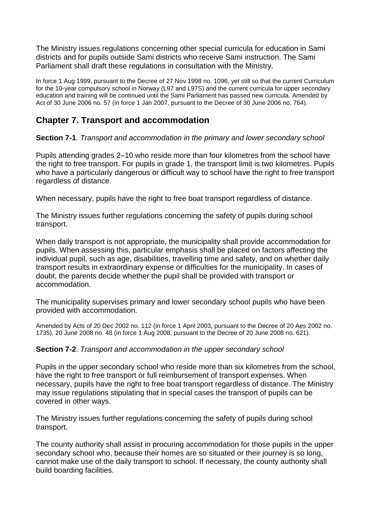The Ministry issues regulations concerning other special curricula for education in Sami districts and for pupils outside Sami districts who receive Sami instruction. The Sami Parliament shall draft these regulations in consultation with the Ministry.

In force 1 Aug 1999, pursuant to the Decree of 27 Nov 1998 no. 1096, yet still so that the current Curriculum for the 10-year compulsory school in Norway (L97 and L97S) and the current curricula for upper secondary education and training will be continued until the Sami Parliament has passed new curricula. Amended by Act of 30 June 2006 no. 57 (in force 1 Jan 2007, pursuant to the Decree of 30 June 2006 no. 764).

# **Chapter 7. Transport and accommodation**

# **Section 7-1**. *Transport and accommodation in the primary and lower secondary school*

Pupils attending grades 2–10 who reside more than four kilometres from the school have the right to free transport. For pupils in grade 1, the transport limit is two kilometres. Pupils who have a particularly dangerous or difficult way to school have the right to free transport regardless of distance.

When necessary, pupils have the right to free boat transport regardless of distance.

The Ministry issues further regulations concerning the safety of pupils during school transport.

When daily transport is not appropriate, the municipality shall provide accommodation for pupils. When assessing this, particular emphasis shall be placed on factors affecting the individual pupil, such as age, disabilities, travelling time and safety, and on whether daily transport results in extraordinary expense or difficulties for the municipality. In cases of doubt, the parents decide whether the pupil shall be provided with transport or accommodation.

The municipality supervises primary and lower secondary school pupils who have been provided with accommodation.

Amended by Acts of 20 Dec 2002 no. 112 (in force 1 April 2003, pursuant to the Decree of 20 Aes 2002 no. 1735), 20 June 2008 no. 48 (in force 1 Aug 2008, pursuant to the Decree of 20 June 2008 no. 621).

### **Section 7-2**. *Transport and accommodation in the upper secondary school*

Pupils in the upper secondary school who reside more than six kilometres from the school, have the right to free transport or full reimbursement of transport expenses. When necessary, pupils have the right to free boat transport regardless of distance. The Ministry may issue regulations stipulating that in special cases the transport of pupils can be covered in other ways.

The Ministry issues further regulations concerning the safety of pupils during school transport.

The county authority shall assist in procuring accommodation for those pupils in the upper secondary school who, because their homes are so situated or their journey is so long, cannot make use of the daily transport to school. If necessary, the county authority shall build boarding facilities.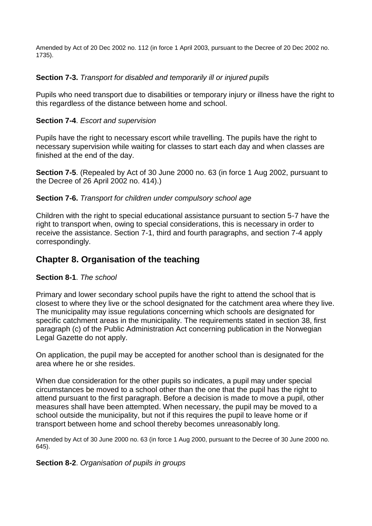Amended by Act of 20 Dec 2002 no. 112 (in force 1 April 2003, pursuant to the Decree of 20 Dec 2002 no. 1735).

## **Section 7-3.** *Transport for disabled and temporarily ill or injured pupils*

Pupils who need transport due to disabilities or temporary injury or illness have the right to this regardless of the distance between home and school.

## **Section 7-4**. *Escort and supervision*

Pupils have the right to necessary escort while travelling. The pupils have the right to necessary supervision while waiting for classes to start each day and when classes are finished at the end of the day.

**Section 7-5**. (Repealed by Act of 30 June 2000 no. 63 (in force 1 Aug 2002, pursuant to the Decree of 26 April 2002 no. 414).)

## **Section 7-6.** *Transport for children under compulsory school age*

Children with the right to special educational assistance pursuant to section 5-7 have the right to transport when, owing to special considerations, this is necessary in order to receive the assistance. Section 7-1, third and fourth paragraphs, and section 7-4 apply correspondingly.

# **Chapter 8. Organisation of the teaching**

### **Section 8-1**. *The school*

Primary and lower secondary school pupils have the right to attend the school that is closest to where they live or the school designated for the catchment area where they live. The municipality may issue regulations concerning which schools are designated for specific catchment areas in the municipality. The requirements stated in section 38, first paragraph (c) of the Public Administration Act concerning publication in the Norwegian Legal Gazette do not apply.

On application, the pupil may be accepted for another school than is designated for the area where he or she resides.

When due consideration for the other pupils so indicates, a pupil may under special circumstances be moved to a school other than the one that the pupil has the right to attend pursuant to the first paragraph. Before a decision is made to move a pupil, other measures shall have been attempted. When necessary, the pupil may be moved to a school outside the municipality, but not if this requires the pupil to leave home or if transport between home and school thereby becomes unreasonably long.

Amended by Act of 30 June 2000 no. 63 (in force 1 Aug 2000, pursuant to the Decree of 30 June 2000 no. 645).

### **Section 8-2**. *Organisation of pupils in groups*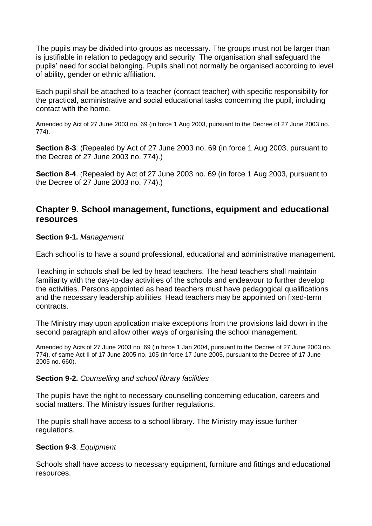The pupils may be divided into groups as necessary. The groups must not be larger than is justifiable in relation to pedagogy and security. The organisation shall safeguard the pupils' need for social belonging. Pupils shall not normally be organised according to level of ability, gender or ethnic affiliation.

Each pupil shall be attached to a teacher (contact teacher) with specific responsibility for the practical, administrative and social educational tasks concerning the pupil, including contact with the home.

Amended by Act of 27 June 2003 no. 69 (in force 1 Aug 2003, pursuant to the Decree of 27 June 2003 no. 774).

**Section 8-3**. (Repealed by Act of 27 June 2003 no. 69 (in force 1 Aug 2003, pursuant to the Decree of 27 June 2003 no. 774).)

**Section 8-4**. (Repealed by Act of 27 June 2003 no. 69 (in force 1 Aug 2003, pursuant to the Decree of 27 June 2003 no. 774).)

# **Chapter 9. School management, functions, equipment and educational resources**

### **Section 9-1.** *Management*

Each school is to have a sound professional, educational and administrative management.

Teaching in schools shall be led by head teachers. The head teachers shall maintain familiarity with the day-to-day activities of the schools and endeavour to further develop the activities. Persons appointed as head teachers must have pedagogical qualifications and the necessary leadership abilities. Head teachers may be appointed on fixed-term contracts.

The Ministry may upon application make exceptions from the provisions laid down in the second paragraph and allow other ways of organising the school management.

Amended by Acts of 27 June 2003 no. 69 (in force 1 Jan 2004, pursuant to the Decree of 27 June 2003 no. 774), cf same Act II of 17 June 2005 no. 105 (in force 17 June 2005, pursuant to the Decree of 17 June 2005 no. 660).

### **Section 9-2.** *Counselling and school library facilities*

The pupils have the right to necessary counselling concerning education, careers and social matters. The Ministry issues further regulations.

The pupils shall have access to a school library. The Ministry may issue further regulations.

# **Section 9-3**. *Equipment*

Schools shall have access to necessary equipment, furniture and fittings and educational resources.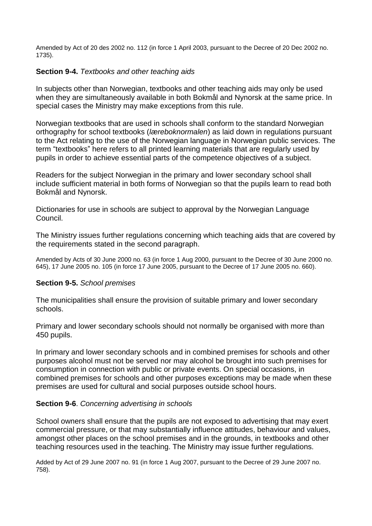Amended by Act of 20 des 2002 no. 112 (in force 1 April 2003, pursuant to the Decree of 20 Dec 2002 no. 1735).

### **Section 9-4.** *Textbooks and other teaching aids*

In subjects other than Norwegian, textbooks and other teaching aids may only be used when they are simultaneously available in both Bokmål and Nynorsk at the same price. In special cases the Ministry may make exceptions from this rule.

Norwegian textbooks that are used in schools shall conform to the standard Norwegian orthography for school textbooks (*læreboknormalen*) as laid down in regulations pursuant to the Act relating to the use of the Norwegian language in Norwegian public services. The term "textbooks" here refers to all printed learning materials that are regularly used by pupils in order to achieve essential parts of the competence objectives of a subject.

Readers for the subject Norwegian in the primary and lower secondary school shall include sufficient material in both forms of Norwegian so that the pupils learn to read both Bokmål and Nynorsk.

Dictionaries for use in schools are subject to approval by the Norwegian Language Council.

The Ministry issues further regulations concerning which teaching aids that are covered by the requirements stated in the second paragraph.

Amended by Acts of 30 June 2000 no. 63 (in force 1 Aug 2000, pursuant to the Decree of 30 June 2000 no. 645), 17 June 2005 no. 105 (in force 17 June 2005, pursuant to the Decree of 17 June 2005 no. 660).

#### **Section 9-5.** *School premises*

The municipalities shall ensure the provision of suitable primary and lower secondary schools.

Primary and lower secondary schools should not normally be organised with more than 450 pupils.

In primary and lower secondary schools and in combined premises for schools and other purposes alcohol must not be served nor may alcohol be brought into such premises for consumption in connection with public or private events. On special occasions, in combined premises for schools and other purposes exceptions may be made when these premises are used for cultural and social purposes outside school hours.

#### **Section 9-6**. *Concerning advertising in schools*

School owners shall ensure that the pupils are not exposed to advertising that may exert commercial pressure, or that may substantially influence attitudes, behaviour and values, amongst other places on the school premises and in the grounds, in textbooks and other teaching resources used in the teaching. The Ministry may issue further regulations.

Added by Act of 29 June 2007 no. 91 (in force 1 Aug 2007, pursuant to the Decree of 29 June 2007 no. 758).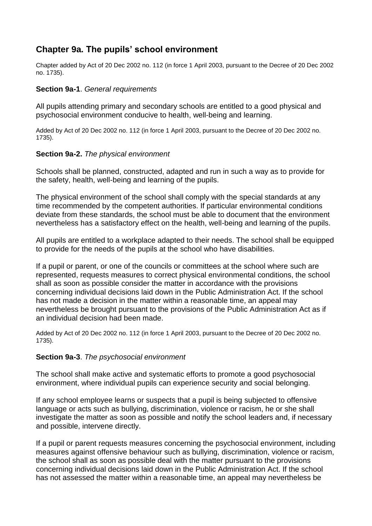# **Chapter 9a. The pupils' school environment**

Chapter added by Act of 20 Dec 2002 no. 112 (in force 1 April 2003, pursuant to the Decree of 20 Dec 2002 no. 1735).

## **Section 9a-1**. *General requirements*

All pupils attending primary and secondary schools are entitled to a good physical and psychosocial environment conducive to health, well-being and learning.

Added by Act of 20 Dec 2002 no. 112 (in force 1 April 2003, pursuant to the Decree of 20 Dec 2002 no. 1735).

### **Section 9a-2.** *The physical environment*

Schools shall be planned, constructed, adapted and run in such a way as to provide for the safety, health, well-being and learning of the pupils.

The physical environment of the school shall comply with the special standards at any time recommended by the competent authorities. If particular environmental conditions deviate from these standards, the school must be able to document that the environment nevertheless has a satisfactory effect on the health, well-being and learning of the pupils.

All pupils are entitled to a workplace adapted to their needs. The school shall be equipped to provide for the needs of the pupils at the school who have disabilities.

If a pupil or parent, or one of the councils or committees at the school where such are represented, requests measures to correct physical environmental conditions, the school shall as soon as possible consider the matter in accordance with the provisions concerning individual decisions laid down in the Public Administration Act. If the school has not made a decision in the matter within a reasonable time, an appeal may nevertheless be brought pursuant to the provisions of the Public Administration Act as if an individual decision had been made.

Added by Act of 20 Dec 2002 no. 112 (in force 1 April 2003, pursuant to the Decree of 20 Dec 2002 no. 1735).

### **Section 9a-3**. *The psychosocial environment*

The school shall make active and systematic efforts to promote a good psychosocial environment, where individual pupils can experience security and social belonging.

If any school employee learns or suspects that a pupil is being subjected to offensive language or acts such as bullying, discrimination, violence or racism, he or she shall investigate the matter as soon as possible and notify the school leaders and, if necessary and possible, intervene directly.

If a pupil or parent requests measures concerning the psychosocial environment, including measures against offensive behaviour such as bullying, discrimination, violence or racism, the school shall as soon as possible deal with the matter pursuant to the provisions concerning individual decisions laid down in the Public Administration Act. If the school has not assessed the matter within a reasonable time, an appeal may nevertheless be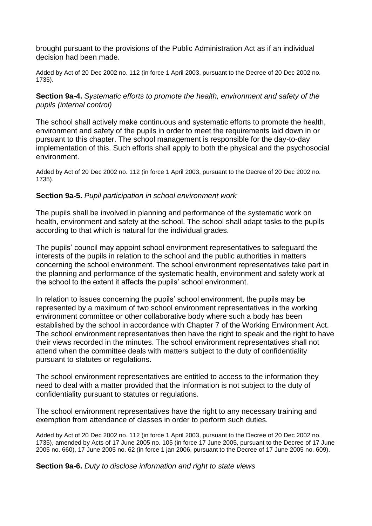brought pursuant to the provisions of the Public Administration Act as if an individual decision had been made.

Added by Act of 20 Dec 2002 no. 112 (in force 1 April 2003, pursuant to the Decree of 20 Dec 2002 no. 1735).

**Section 9a-4.** *Systematic efforts to promote the health, environment and safety of the pupils (internal control)* 

The school shall actively make continuous and systematic efforts to promote the health, environment and safety of the pupils in order to meet the requirements laid down in or pursuant to this chapter. The school management is responsible for the day-to-day implementation of this. Such efforts shall apply to both the physical and the psychosocial environment.

Added by Act of 20 Dec 2002 no. 112 (in force 1 April 2003, pursuant to the Decree of 20 Dec 2002 no. 1735).

### **Section 9a-5.** *Pupil participation in school environment work*

The pupils shall be involved in planning and performance of the systematic work on health, environment and safety at the school. The school shall adapt tasks to the pupils according to that which is natural for the individual grades.

The pupils' council may appoint school environment representatives to safeguard the interests of the pupils in relation to the school and the public authorities in matters concerning the school environment. The school environment representatives take part in the planning and performance of the systematic health, environment and safety work at the school to the extent it affects the pupils' school environment.

In relation to issues concerning the pupils' school environment, the pupils may be represented by a maximum of two school environment representatives in the working environment committee or other collaborative body where such a body has been established by the school in accordance with Chapter 7 of the Working Environment Act. The school environment representatives then have the right to speak and the right to have their views recorded in the minutes. The school environment representatives shall not attend when the committee deals with matters subject to the duty of confidentiality pursuant to statutes or regulations.

The school environment representatives are entitled to access to the information they need to deal with a matter provided that the information is not subject to the duty of confidentiality pursuant to statutes or regulations.

The school environment representatives have the right to any necessary training and exemption from attendance of classes in order to perform such duties.

Added by Act of 20 Dec 2002 no. 112 (in force 1 April 2003, pursuant to the Decree of 20 Dec 2002 no. 1735), amended by Acts of 17 June 2005 no. 105 (in force 17 June 2005, pursuant to the Decree of 17 June 2005 no. 660), 17 June 2005 no. 62 (in force 1 jan 2006, pursuant to the Decree of 17 June 2005 no. 609).

**Section 9a-6.** *Duty to disclose information and right to state views*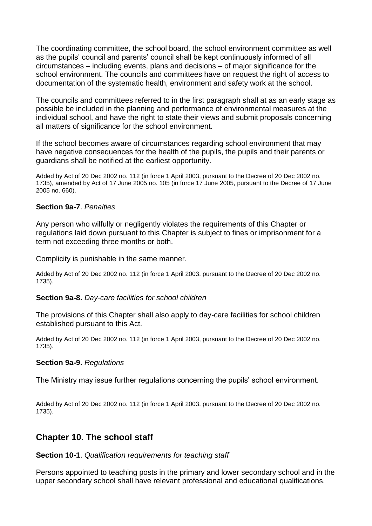The coordinating committee, the school board, the school environment committee as well as the pupils' council and parents' council shall be kept continuously informed of all circumstances – including events, plans and decisions – of major significance for the school environment. The councils and committees have on request the right of access to documentation of the systematic health, environment and safety work at the school.

The councils and committees referred to in the first paragraph shall at as an early stage as possible be included in the planning and performance of environmental measures at the individual school, and have the right to state their views and submit proposals concerning all matters of significance for the school environment.

If the school becomes aware of circumstances regarding school environment that may have negative consequences for the health of the pupils, the pupils and their parents or guardians shall be notified at the earliest opportunity.

Added by Act of 20 Dec 2002 no. 112 (in force 1 April 2003, pursuant to the Decree of 20 Dec 2002 no. 1735), amended by Act of 17 June 2005 no. 105 (in force 17 June 2005, pursuant to the Decree of 17 June 2005 no. 660).

### **Section 9a-7**. *Penalties*

Any person who wilfully or negligently violates the requirements of this Chapter or regulations laid down pursuant to this Chapter is subject to fines or imprisonment for a term not exceeding three months or both.

Complicity is punishable in the same manner.

Added by Act of 20 Dec 2002 no. 112 (in force 1 April 2003, pursuant to the Decree of 20 Dec 2002 no. 1735).

#### **Section 9a-8.** *Day-care facilities for school children*

The provisions of this Chapter shall also apply to day-care facilities for school children established pursuant to this Act.

Added by Act of 20 Dec 2002 no. 112 (in force 1 April 2003, pursuant to the Decree of 20 Dec 2002 no. 1735).

#### **Section 9a-9.** *Regulations*

The Ministry may issue further regulations concerning the pupils' school environment.

Added by Act of 20 Dec 2002 no. 112 (in force 1 April 2003, pursuant to the Decree of 20 Dec 2002 no. 1735).

# **Chapter 10. The school staff**

#### **Section 10-1**. *Qualification requirements for teaching staff*

Persons appointed to teaching posts in the primary and lower secondary school and in the upper secondary school shall have relevant professional and educational qualifications.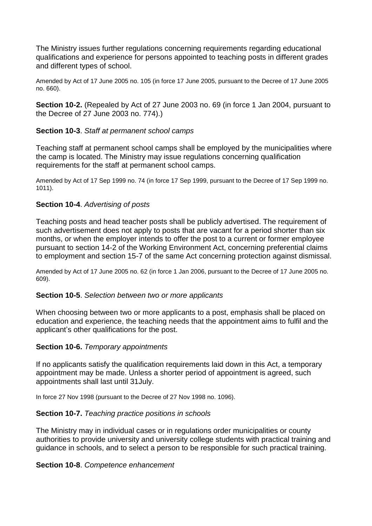The Ministry issues further regulations concerning requirements regarding educational qualifications and experience for persons appointed to teaching posts in different grades and different types of school.

Amended by Act of 17 June 2005 no. 105 (in force 17 June 2005, pursuant to the Decree of 17 June 2005 no. 660).

**Section 10-2.** (Repealed by Act of 27 June 2003 no. 69 (in force 1 Jan 2004, pursuant to the Decree of 27 June 2003 no. 774).)

### **Section 10-3**. *Staff at permanent school camps*

Teaching staff at permanent school camps shall be employed by the municipalities where the camp is located. The Ministry may issue regulations concerning qualification requirements for the staff at permanent school camps.

Amended by Act of 17 Sep 1999 no. 74 (in force 17 Sep 1999, pursuant to the Decree of 17 Sep 1999 no. 1011).

### **Section 10-4**. *Advertising of posts*

Teaching posts and head teacher posts shall be publicly advertised. The requirement of such advertisement does not apply to posts that are vacant for a period shorter than six months, or when the employer intends to offer the post to a current or former employee pursuant to section 14-2 of the Working Environment Act, concerning preferential claims to employment and section 15-7 of the same Act concerning protection against dismissal.

Amended by Act of 17 June 2005 no. 62 (in force 1 Jan 2006, pursuant to the Decree of 17 June 2005 no. 609).

#### **Section 10-5**. *Selection between two or more applicants*

When choosing between two or more applicants to a post, emphasis shall be placed on education and experience, the teaching needs that the appointment aims to fulfil and the applicant's other qualifications for the post.

#### **Section 10-6.** *Temporary appointments*

If no applicants satisfy the qualification requirements laid down in this Act, a temporary appointment may be made. Unless a shorter period of appointment is agreed, such appointments shall last until 31July.

In force 27 Nov 1998 (pursuant to the Decree of 27 Nov 1998 no. 1096).

### **Section 10-7.** *Teaching practice positions in schools*

The Ministry may in individual cases or in regulations order municipalities or county authorities to provide university and university college students with practical training and guidance in schools, and to select a person to be responsible for such practical training.

### **Section 10-8**. *Competence enhancement*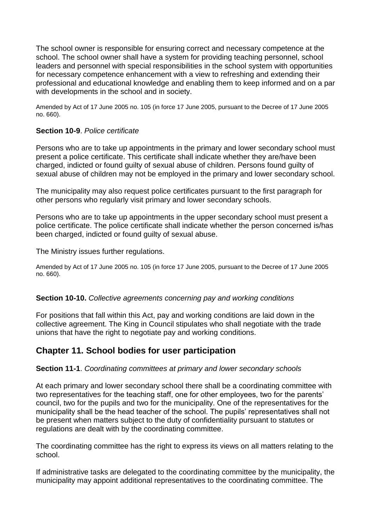The school owner is responsible for ensuring correct and necessary competence at the school. The school owner shall have a system for providing teaching personnel, school leaders and personnel with special responsibilities in the school system with opportunities for necessary competence enhancement with a view to refreshing and extending their professional and educational knowledge and enabling them to keep informed and on a par with developments in the school and in society.

Amended by Act of 17 June 2005 no. 105 (in force 17 June 2005, pursuant to the Decree of 17 June 2005 no. 660).

## **Section 10-9**. *Police certificate*

Persons who are to take up appointments in the primary and lower secondary school must present a police certificate. This certificate shall indicate whether they are/have been charged, indicted or found guilty of sexual abuse of children. Persons found guilty of sexual abuse of children may not be employed in the primary and lower secondary school.

The municipality may also request police certificates pursuant to the first paragraph for other persons who regularly visit primary and lower secondary schools.

Persons who are to take up appointments in the upper secondary school must present a police certificate. The police certificate shall indicate whether the person concerned is/has been charged, indicted or found guilty of sexual abuse.

The Ministry issues further regulations.

Amended by Act of 17 June 2005 no. 105 (in force 17 June 2005, pursuant to the Decree of 17 June 2005 no. 660).

### **Section 10-10.** *Collective agreements concerning pay and working conditions*

For positions that fall within this Act, pay and working conditions are laid down in the collective agreement. The King in Council stipulates who shall negotiate with the trade unions that have the right to negotiate pay and working conditions.

# **Chapter 11. School bodies for user participation**

### **Section 11-1**. *Coordinating committees at primary and lower secondary schools*

At each primary and lower secondary school there shall be a coordinating committee with two representatives for the teaching staff, one for other employees, two for the parents' council, two for the pupils and two for the municipality. One of the representatives for the municipality shall be the head teacher of the school. The pupils' representatives shall not be present when matters subject to the duty of confidentiality pursuant to statutes or regulations are dealt with by the coordinating committee.

The coordinating committee has the right to express its views on all matters relating to the school.

If administrative tasks are delegated to the coordinating committee by the municipality, the municipality may appoint additional representatives to the coordinating committee. The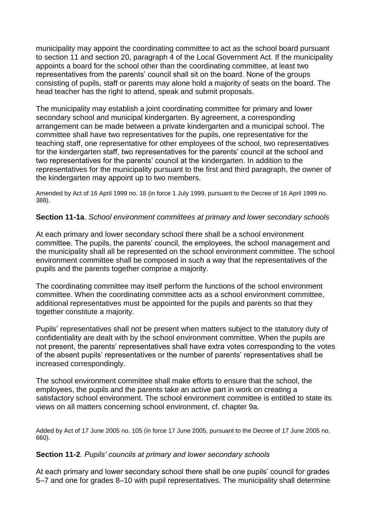municipality may appoint the coordinating committee to act as the school board pursuant to section 11 and section 20, paragraph 4 of the Local Government Act. If the municipality appoints a board for the school other than the coordinating committee, at least two representatives from the parents' council shall sit on the board. None of the groups consisting of pupils, staff or parents may alone hold a majority of seats on the board. The head teacher has the right to attend, speak and submit proposals.

The municipality may establish a joint coordinating committee for primary and lower secondary school and municipal kindergarten. By agreement, a corresponding arrangement can be made between a private kindergarten and a municipal school. The committee shall have two representatives for the pupils, one representative for the teaching staff, one representative for other employees of the school, two representatives for the kindergarten staff, two representatives for the parents' council at the school and two representatives for the parents' council at the kindergarten. In addition to the representatives for the municipality pursuant to the first and third paragraph, the owner of the kindergarten may appoint up to two members.

Amended by Act of 16 April 1999 no. 18 (in force 1 July 1999, pursuant to the Decree of 16 April 1999 no. 388).

## **Section 11-1a**. *School environment committees at primary and lower secondary schools*

At each primary and lower secondary school there shall be a school environment committee. The pupils, the parents' council, the employees, the school management and the municipality shall all be represented on the school environment committee. The school environment committee shall be composed in such a way that the representatives of the pupils and the parents together comprise a majority.

The coordinating committee may itself perform the functions of the school environment committee. When the coordinating committee acts as a school environment committee, additional representatives must be appointed for the pupils and parents so that they together constitute a majority.

Pupils' representatives shall not be present when matters subject to the statutory duty of confidentiality are dealt with by the school environment committee. When the pupils are not present, the parents' representatives shall have extra votes corresponding to the votes of the absent pupils' representatives or the number of parents' representatives shall be increased correspondingly.

The school environment committee shall make efforts to ensure that the school, the employees, the pupils and the parents take an active part in work on creating a satisfactory school environment. The school environment committee is entitled to state its views on all matters concerning school environment, cf. chapter 9a.

Added by Act of 17 June 2005 no. 105 (in force 17 June 2005, pursuant to the Decree of 17 June 2005 no. 660).

### **Section 11-2***. Pupils' councils at primary and lower secondary schools*

At each primary and lower secondary school there shall be one pupils' council for grades 5–7 and one for grades 8–10 with pupil representatives. The municipality shall determine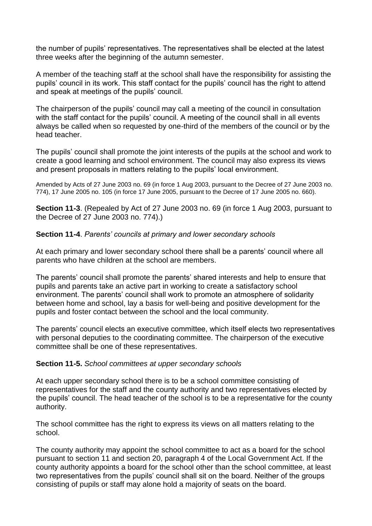the number of pupils' representatives. The representatives shall be elected at the latest three weeks after the beginning of the autumn semester.

A member of the teaching staff at the school shall have the responsibility for assisting the pupils' council in its work. This staff contact for the pupils' council has the right to attend and speak at meetings of the pupils' council.

The chairperson of the pupils' council may call a meeting of the council in consultation with the staff contact for the pupils' council. A meeting of the council shall in all events always be called when so requested by one-third of the members of the council or by the head teacher.

The pupils' council shall promote the joint interests of the pupils at the school and work to create a good learning and school environment. The council may also express its views and present proposals in matters relating to the pupils' local environment.

Amended by Acts of 27 June 2003 no. 69 (in force 1 Aug 2003, pursuant to the Decree of 27 June 2003 no. 774), 17 June 2005 no. 105 (in force 17 June 2005, pursuant to the Decree of 17 June 2005 no. 660).

**Section 11-3**. (Repealed by Act of 27 June 2003 no. 69 (in force 1 Aug 2003, pursuant to the Decree of 27 June 2003 no. 774).)

### **Section 11-4**. *Parents' councils at primary and lower secondary schools*

At each primary and lower secondary school there shall be a parents' council where all parents who have children at the school are members.

The parents' council shall promote the parents' shared interests and help to ensure that pupils and parents take an active part in working to create a satisfactory school environment. The parents' council shall work to promote an atmosphere of solidarity between home and school, lay a basis for well-being and positive development for the pupils and foster contact between the school and the local community.

The parents' council elects an executive committee, which itself elects two representatives with personal deputies to the coordinating committee. The chairperson of the executive committee shall be one of these representatives.

#### **Section 11-5.** *School committees at upper secondary schools*

At each upper secondary school there is to be a school committee consisting of representatives for the staff and the county authority and two representatives elected by the pupils' council. The head teacher of the school is to be a representative for the county authority.

The school committee has the right to express its views on all matters relating to the school.

The county authority may appoint the school committee to act as a board for the school pursuant to section 11 and section 20, paragraph 4 of the Local Government Act. If the county authority appoints a board for the school other than the school committee, at least two representatives from the pupils' council shall sit on the board. Neither of the groups consisting of pupils or staff may alone hold a majority of seats on the board.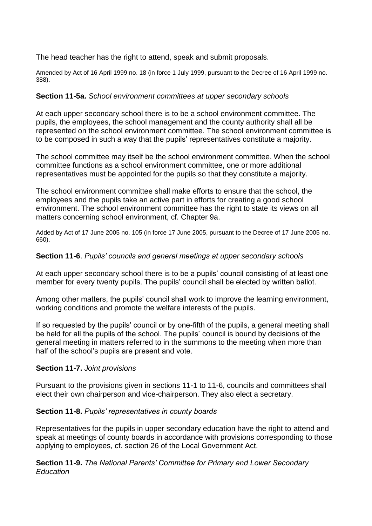The head teacher has the right to attend, speak and submit proposals.

Amended by Act of 16 April 1999 no. 18 (in force 1 July 1999, pursuant to the Decree of 16 April 1999 no. 388).

## **Section 11-5a.** *School environment committees at upper secondary schools*

At each upper secondary school there is to be a school environment committee. The pupils, the employees, the school management and the county authority shall all be represented on the school environment committee. The school environment committee is to be composed in such a way that the pupils' representatives constitute a majority.

The school committee may itself be the school environment committee. When the school committee functions as a school environment committee, one or more additional representatives must be appointed for the pupils so that they constitute a majority.

The school environment committee shall make efforts to ensure that the school, the employees and the pupils take an active part in efforts for creating a good school environment. The school environment committee has the right to state its views on all matters concerning school environment, cf. Chapter 9a.

Added by Act of 17 June 2005 no. 105 (in force 17 June 2005, pursuant to the Decree of 17 June 2005 no. 660).

### **Section 11-6**. *Pupils' councils and general meetings at upper secondary schools*

At each upper secondary school there is to be a pupils' council consisting of at least one member for every twenty pupils. The pupils' council shall be elected by written ballot.

Among other matters, the pupils' council shall work to improve the learning environment, working conditions and promote the welfare interests of the pupils.

If so requested by the pupils' council or by one-fifth of the pupils, a general meeting shall be held for all the pupils of the school. The pupils' council is bound by decisions of the general meeting in matters referred to in the summons to the meeting when more than half of the school's pupils are present and vote.

### **Section 11-7.** *Joint provisions*

Pursuant to the provisions given in sections 11-1 to 11-6, councils and committees shall elect their own chairperson and vice-chairperson. They also elect a secretary.

### **Section 11-8.** *Pupils' representatives in county boards*

Representatives for the pupils in upper secondary education have the right to attend and speak at meetings of county boards in accordance with provisions corresponding to those applying to employees, cf. section 26 of the Local Government Act.

**Section 11-9.** *The National Parents' Committee for Primary and Lower Secondary Education*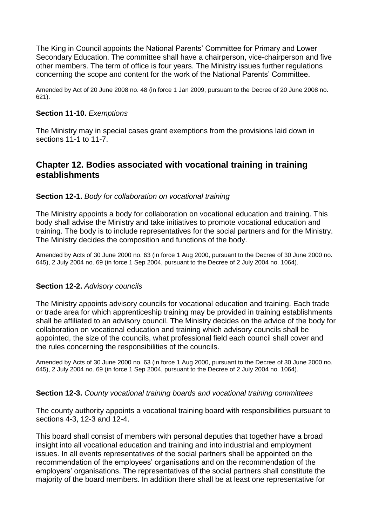The King in Council appoints the National Parents' Committee for Primary and Lower Secondary Education. The committee shall have a chairperson, vice-chairperson and five other members. The term of office is four years. The Ministry issues further regulations concerning the scope and content for the work of the National Parents' Committee.

Amended by Act of 20 June 2008 no. 48 (in force 1 Jan 2009, pursuant to the Decree of 20 June 2008 no. 621).

## **Section 11-10.** *Exemptions*

The Ministry may in special cases grant exemptions from the provisions laid down in sections 11-1 to 11-7.

# **Chapter 12. Bodies associated with vocational training in training establishments**

## **Section 12-1.** *Body for collaboration on vocational training*

The Ministry appoints a body for collaboration on vocational education and training. This body shall advise the Ministry and take initiatives to promote vocational education and training. The body is to include representatives for the social partners and for the Ministry. The Ministry decides the composition and functions of the body.

Amended by Acts of 30 June 2000 no. 63 (in force 1 Aug 2000, pursuant to the Decree of 30 June 2000 no. 645), 2 July 2004 no. 69 (in force 1 Sep 2004, pursuant to the Decree of 2 July 2004 no. 1064).

### **Section 12-2.** *Advisory councils*

The Ministry appoints advisory councils for vocational education and training. Each trade or trade area for which apprenticeship training may be provided in training establishments shall be affiliated to an advisory council. The Ministry decides on the advice of the body for collaboration on vocational education and training which advisory councils shall be appointed, the size of the councils, what professional field each council shall cover and the rules concerning the responsibilities of the councils.

Amended by Acts of 30 June 2000 no. 63 (in force 1 Aug 2000, pursuant to the Decree of 30 June 2000 no. 645), 2 July 2004 no. 69 (in force 1 Sep 2004, pursuant to the Decree of 2 July 2004 no. 1064).

### **Section 12-3.** *County vocational training boards and vocational training committees*

The county authority appoints a vocational training board with responsibilities pursuant to sections 4-3, 12-3 and 12-4.

This board shall consist of members with personal deputies that together have a broad insight into all vocational education and training and into industrial and employment issues. In all events representatives of the social partners shall be appointed on the recommendation of the employees' organisations and on the recommendation of the employers' organisations. The representatives of the social partners shall constitute the majority of the board members. In addition there shall be at least one representative for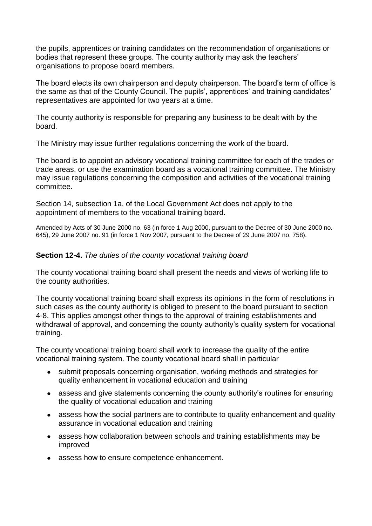the pupils, apprentices or training candidates on the recommendation of organisations or bodies that represent these groups. The county authority may ask the teachers' organisations to propose board members.

The board elects its own chairperson and deputy chairperson. The board's term of office is the same as that of the County Council. The pupils', apprentices' and training candidates' representatives are appointed for two years at a time.

The county authority is responsible for preparing any business to be dealt with by the board.

The Ministry may issue further regulations concerning the work of the board.

The board is to appoint an advisory vocational training committee for each of the trades or trade areas, or use the examination board as a vocational training committee. The Ministry may issue regulations concerning the composition and activities of the vocational training committee.

Section 14, subsection 1a, of the Local Government Act does not apply to the appointment of members to the vocational training board.

Amended by Acts of 30 June 2000 no. 63 (in force 1 Aug 2000, pursuant to the Decree of 30 June 2000 no. 645), 29 June 2007 no. 91 (in force 1 Nov 2007, pursuant to the Decree of 29 June 2007 no. 758).

### **Section 12-4.** *The duties of the county vocational training board*

The county vocational training board shall present the needs and views of working life to the county authorities.

The county vocational training board shall express its opinions in the form of resolutions in such cases as the county authority is obliged to present to the board pursuant to section 4-8. This applies amongst other things to the approval of training establishments and withdrawal of approval, and concerning the county authority's quality system for vocational training.

The county vocational training board shall work to increase the quality of the entire vocational training system. The county vocational board shall in particular

- submit proposals concerning organisation, working methods and strategies for quality enhancement in vocational education and training
- assess and give statements concerning the county authority's routines for ensuring  $\bullet$ the quality of vocational education and training
- assess how the social partners are to contribute to quality enhancement and quality  $\bullet$ assurance in vocational education and training
- assess how collaboration between schools and training establishments may be improved
- assess how to ensure competence enhancement.  $\bullet$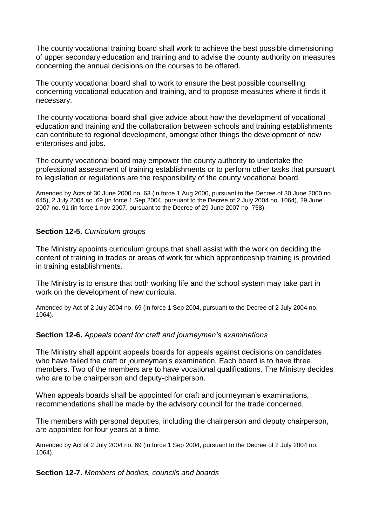The county vocational training board shall work to achieve the best possible dimensioning of upper secondary education and training and to advise the county authority on measures concerning the annual decisions on the courses to be offered.

The county vocational board shall to work to ensure the best possible counselling concerning vocational education and training, and to propose measures where it finds it necessary.

The county vocational board shall give advice about how the development of vocational education and training and the collaboration between schools and training establishments can contribute to regional development, amongst other things the development of new enterprises and jobs.

The county vocational board may empower the county authority to undertake the professional assessment of training establishments or to perform other tasks that pursuant to legislation or regulations are the responsibility of the county vocational board.

Amended by Acts of 30 June 2000 no. 63 (in force 1 Aug 2000, pursuant to the Decree of 30 June 2000 no. 645), 2 July 2004 no. 69 (in force 1 Sep 2004, pursuant to the Decree of 2 July 2004 no. 1064), 29 June 2007 no. 91 (in force 1 nov 2007, pursuant to the Decree of 29 June 2007 no. 758).

## **Section 12-5.** *Curriculum groups*

The Ministry appoints curriculum groups that shall assist with the work on deciding the content of training in trades or areas of work for which apprenticeship training is provided in training establishments.

The Ministry is to ensure that both working life and the school system may take part in work on the development of new curricula.

Amended by Act of 2 July 2004 no. 69 (in force 1 Sep 2004, pursuant to the Decree of 2 July 2004 no. 1064).

### **Section 12-6.** *Appeals board for craft and journeyman's examinations*

The Ministry shall appoint appeals boards for appeals against decisions on candidates who have failed the craft or journeyman's examination. Each board is to have three members. Two of the members are to have vocational qualifications. The Ministry decides who are to be chairperson and deputy-chairperson.

When appeals boards shall be appointed for craft and journeyman's examinations, recommendations shall be made by the advisory council for the trade concerned.

The members with personal deputies, including the chairperson and deputy chairperson, are appointed for four years at a time.

Amended by Act of 2 July 2004 no. 69 (in force 1 Sep 2004, pursuant to the Decree of 2 July 2004 no. 1064).

**Section 12-7.** *Members of bodies, councils and boards*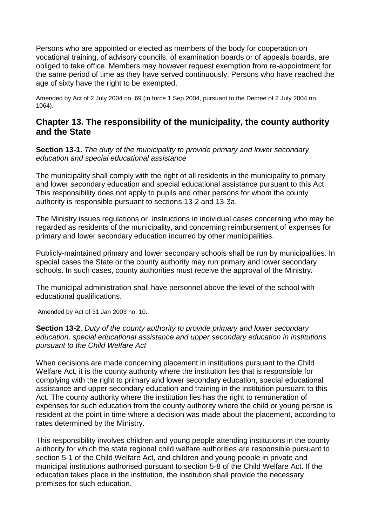Persons who are appointed or elected as members of the body for cooperation on vocational training, of advisory councils, of examination boards or of appeals boards, are obliged to take office. Members may however request exemption from re-appointment for the same period of time as they have served continuously. Persons who have reached the age of sixty have the right to be exempted.

Amended by Act of 2 July 2004 no. 69 (in force 1 Sep 2004, pursuant to the Decree of 2 July 2004 no. 1064).

# **Chapter 13. The responsibility of the municipality, the county authority and the State**

**Section 13-1.** *The duty of the municipality to provide primary and lower secondary education and special educational assistance* 

The municipality shall comply with the right of all residents in the municipality to primary and lower secondary education and special educational assistance pursuant to this Act. This responsibility does not apply to pupils and other persons for whom the county authority is responsible pursuant to sections 13-2 and 13-3a.

The Ministry issues regulations or instructions in individual cases concerning who may be regarded as residents of the municipality, and concerning reimbursement of expenses for primary and lower secondary education incurred by other municipalities.

Publicly-maintained primary and lower secondary schools shall be run by municipalities. In special cases the State or the county authority may run primary and lower secondary schools. In such cases, county authorities must receive the approval of the Ministry.

The municipal administration shall have personnel above the level of the school with educational qualifications.

Amended by Act of 31 Jan 2003 no. 10.

### **Section 13-2**. *Duty of the county authority to provide primary and lower secondary education, special educational assistance and upper secondary education in institutions pursuant to the Child Welfare Act*

When decisions are made concerning placement in institutions pursuant to the Child Welfare Act, it is the county authority where the institution lies that is responsible for complying with the right to primary and lower secondary education, special educational assistance and upper secondary education and training in the institution pursuant to this Act. The county authority where the institution lies has the right to remuneration of expenses for such education from the county authority where the child or young person is resident at the point in time where a decision was made about the placement, according to rates determined by the Ministry.

This responsibility involves children and young people attending institutions in the county authority for which the state regional child welfare authorities are responsible pursuant to section 5-1 of the Child Welfare Act, and children and young people in private and municipal institutions authorised pursuant to section 5-8 of the Child Welfare Act. If the education takes place in the institution, the institution shall provide the necessary premises for such education.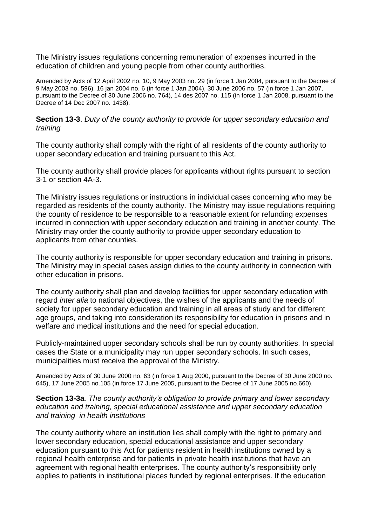The Ministry issues regulations concerning remuneration of expenses incurred in the education of children and young people from other county authorities.

Amended by Acts of 12 April 2002 no. 10, 9 May 2003 no. 29 (in force 1 Jan 2004, pursuant to the Decree of 9 May 2003 no. 596), 16 jan 2004 no. 6 (in force 1 Jan 2004), 30 June 2006 no. 57 (in force 1 Jan 2007, pursuant to the Decree of 30 June 2006 no. 764), 14 des 2007 no. 115 (in force 1 Jan 2008, pursuant to the Decree of 14 Dec 2007 no. 1438).

**Section 13-3**. *Duty of the county authority to provide for upper secondary education and training*

The county authority shall comply with the right of all residents of the county authority to upper secondary education and training pursuant to this Act.

The county authority shall provide places for applicants without rights pursuant to section 3-1 or section 4A-3.

The Ministry issues regulations or instructions in individual cases concerning who may be regarded as residents of the county authority. The Ministry may issue regulations requiring the county of residence to be responsible to a reasonable extent for refunding expenses incurred in connection with upper secondary education and training in another county. The Ministry may order the county authority to provide upper secondary education to applicants from other counties.

The county authority is responsible for upper secondary education and training in prisons. The Ministry may in special cases assign duties to the county authority in connection with other education in prisons.

The county authority shall plan and develop facilities for upper secondary education with regard *inter alia* to national objectives, the wishes of the applicants and the needs of society for upper secondary education and training in all areas of study and for different age groups, and taking into consideration its responsibility for education in prisons and in welfare and medical institutions and the need for special education.

Publicly-maintained upper secondary schools shall be run by county authorities. In special cases the State or a municipality may run upper secondary schools. In such cases, municipalities must receive the approval of the Ministry.

Amended by Acts of 30 June 2000 no. 63 (in force 1 Aug 2000, pursuant to the Decree of 30 June 2000 no. 645), 17 June 2005 no.105 (in force 17 June 2005, pursuant to the Decree of 17 June 2005 no.660).

**Section 13-3a***. The county authority's obligation to provide primary and lower secondary education and training, special educational assistance and upper secondary education and training in health institutions*

The county authority where an institution lies shall comply with the right to primary and lower secondary education, special educational assistance and upper secondary education pursuant to this Act for patients resident in health institutions owned by a regional health enterprise and for patients in private health institutions that have an agreement with regional health enterprises. The county authority's responsibility only applies to patients in institutional places funded by regional enterprises. If the education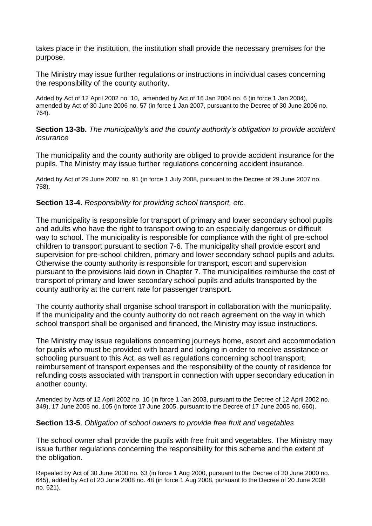takes place in the institution, the institution shall provide the necessary premises for the purpose.

The Ministry may issue further regulations or instructions in individual cases concerning the responsibility of the county authority.

Added by Act of 12 April 2002 no. 10, amended by Act of 16 Jan 2004 no. 6 (in force 1 Jan 2004), amended by Act of 30 June 2006 no. 57 (in force 1 Jan 2007, pursuant to the Decree of 30 June 2006 no. 764).

**Section 13-3b.** *The municipality's and the county authority's obligation to provide accident insurance*

The municipality and the county authority are obliged to provide accident insurance for the pupils. The Ministry may issue further regulations concerning accident insurance.

Added by Act of 29 June 2007 no. 91 (in force 1 July 2008, pursuant to the Decree of 29 June 2007 no. 758).

### **Section 13-4.** *Responsibility for providing school transport, etc.*

The municipality is responsible for transport of primary and lower secondary school pupils and adults who have the right to transport owing to an especially dangerous or difficult way to school. The municipality is responsible for compliance with the right of pre-school children to transport pursuant to section 7-6. The municipality shall provide escort and supervision for pre-school children, primary and lower secondary school pupils and adults. Otherwise the county authority is responsible for transport, escort and supervision pursuant to the provisions laid down in Chapter 7. The municipalities reimburse the cost of transport of primary and lower secondary school pupils and adults transported by the county authority at the current rate for passenger transport.

The county authority shall organise school transport in collaboration with the municipality. If the municipality and the county authority do not reach agreement on the way in which school transport shall be organised and financed, the Ministry may issue instructions.

The Ministry may issue regulations concerning journeys home, escort and accommodation for pupils who must be provided with board and lodging in order to receive assistance or schooling pursuant to this Act, as well as regulations concerning school transport, reimbursement of transport expenses and the responsibility of the county of residence for refunding costs associated with transport in connection with upper secondary education in another county.

Amended by Acts of 12 April 2002 no. 10 (in force 1 Jan 2003, pursuant to the Decree of 12 April 2002 no. 349), 17 June 2005 no. 105 (in force 17 June 2005, pursuant to the Decree of 17 June 2005 no. 660).

### **Section 13-5**. *Obligation of school owners to provide free fruit and vegetables*

The school owner shall provide the pupils with free fruit and vegetables. The Ministry may issue further regulations concerning the responsibility for this scheme and the extent of the obligation.

Repealed by Act of 30 June 2000 no. 63 (in force 1 Aug 2000, pursuant to the Decree of 30 June 2000 no. 645), added by Act of 20 June 2008 no. 48 (in force 1 Aug 2008, pursuant to the Decree of 20 June 2008 no. 621).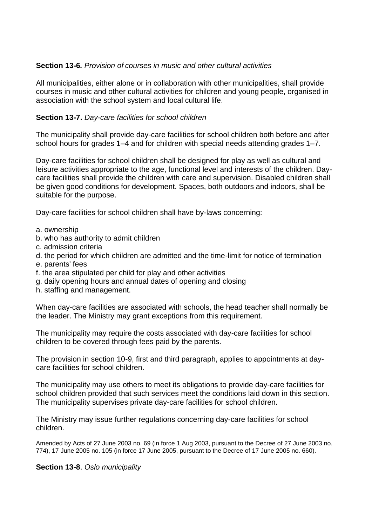## **Section 13-6***. Provision of courses in music and other cultural activities*

All municipalities, either alone or in collaboration with other municipalities, shall provide courses in music and other cultural activities for children and young people, organised in association with the school system and local cultural life.

## **Section 13-7.** *Day-care facilities for school children*

The municipality shall provide day-care facilities for school children both before and after school hours for grades 1–4 and for children with special needs attending grades 1–7.

Day-care facilities for school children shall be designed for play as well as cultural and leisure activities appropriate to the age, functional level and interests of the children. Daycare facilities shall provide the children with care and supervision. Disabled children shall be given good conditions for development. Spaces, both outdoors and indoors, shall be suitable for the purpose.

Day-care facilities for school children shall have by-laws concerning:

- a. ownership
- b. who has authority to admit children
- c. admission criteria
- d. the period for which children are admitted and the time-limit for notice of termination
- e. parents' fees
- f. the area stipulated per child for play and other activities
- g. daily opening hours and annual dates of opening and closing
- h. staffing and management.

When day-care facilities are associated with schools, the head teacher shall normally be the leader. The Ministry may grant exceptions from this requirement.

The municipality may require the costs associated with day-care facilities for school children to be covered through fees paid by the parents.

The provision in section 10-9, first and third paragraph, applies to appointments at daycare facilities for school children.

The municipality may use others to meet its obligations to provide day-care facilities for school children provided that such services meet the conditions laid down in this section. The municipality supervises private day-care facilities for school children.

The Ministry may issue further regulations concerning day-care facilities for school children.

Amended by Acts of 27 June 2003 no. 69 (in force 1 Aug 2003, pursuant to the Decree of 27 June 2003 no. 774), 17 June 2005 no. 105 (in force 17 June 2005, pursuant to the Decree of 17 June 2005 no. 660).

#### **Section 13-8**. *Oslo municipality*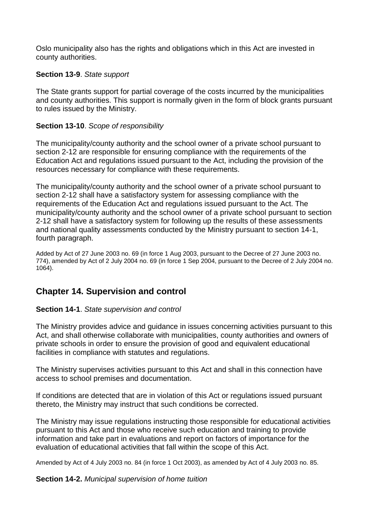Oslo municipality also has the rights and obligations which in this Act are invested in county authorities.

## **Section 13-9**. *State support*

The State grants support for partial coverage of the costs incurred by the municipalities and county authorities. This support is normally given in the form of block grants pursuant to rules issued by the Ministry.

## **Section 13-10**. *Scope of responsibility*

The municipality/county authority and the school owner of a private school pursuant to section 2-12 are responsible for ensuring compliance with the requirements of the Education Act and regulations issued pursuant to the Act, including the provision of the resources necessary for compliance with these requirements.

The municipality/county authority and the school owner of a private school pursuant to section 2-12 shall have a satisfactory system for assessing compliance with the requirements of the Education Act and regulations issued pursuant to the Act. The municipality/county authority and the school owner of a private school pursuant to section 2-12 shall have a satisfactory system for following up the results of these assessments and national quality assessments conducted by the Ministry pursuant to section 14-1, fourth paragraph.

Added by Act of 27 June 2003 no. 69 (in force 1 Aug 2003, pursuant to the Decree of 27 June 2003 no. 774), amended by Act of 2 July 2004 no. 69 (in force 1 Sep 2004, pursuant to the Decree of 2 July 2004 no. 1064).

# **Chapter 14. Supervision and control**

### **Section 14-1**. *State supervision and control*

The Ministry provides advice and guidance in issues concerning activities pursuant to this Act, and shall otherwise collaborate with municipalities, county authorities and owners of private schools in order to ensure the provision of good and equivalent educational facilities in compliance with statutes and regulations.

The Ministry supervises activities pursuant to this Act and shall in this connection have access to school premises and documentation.

If conditions are detected that are in violation of this Act or regulations issued pursuant thereto, the Ministry may instruct that such conditions be corrected.

The Ministry may issue regulations instructing those responsible for educational activities pursuant to this Act and those who receive such education and training to provide information and take part in evaluations and report on factors of importance for the evaluation of educational activities that fall within the scope of this Act.

Amended by Act of 4 July 2003 no. 84 (in force 1 Oct 2003), as amended by Act of 4 July 2003 no. 85.

### **Section 14-2.** *Municipal supervision of home tuition*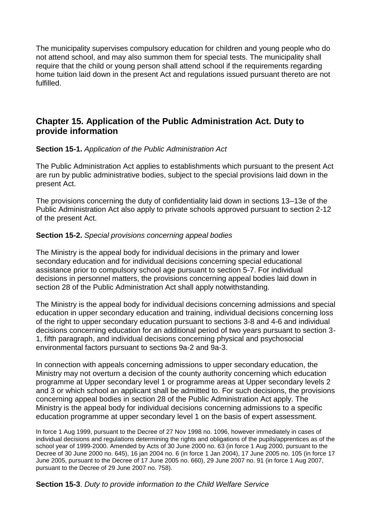The municipality supervises compulsory education for children and young people who do not attend school, and may also summon them for special tests. The municipality shall require that the child or young person shall attend school if the requirements regarding home tuition laid down in the present Act and regulations issued pursuant thereto are not fulfilled.

# **Chapter 15. Application of the Public Administration Act. Duty to provide information**

## **Section 15-1.** *Application of the Public Administration Act*

The Public Administration Act applies to establishments which pursuant to the present Act are run by public administrative bodies, subject to the special provisions laid down in the present Act.

The provisions concerning the duty of confidentiality laid down in sections 13–13e of the Public Administration Act also apply to private schools approved pursuant to section 2-12 of the present Act.

## **Section 15-2.** *Special provisions concerning appeal bodies*

The Ministry is the appeal body for individual decisions in the primary and lower secondary education and for individual decisions concerning special educational assistance prior to compulsory school age pursuant to section 5-7. For individual decisions in personnel matters, the provisions concerning appeal bodies laid down in section 28 of the Public Administration Act shall apply notwithstanding.

The Ministry is the appeal body for individual decisions concerning admissions and special education in upper secondary education and training, individual decisions concerning loss of the right to upper secondary education pursuant to sections 3-8 and 4-6 and individual decisions concerning education for an additional period of two years pursuant to section 3- 1, fifth paragraph, and individual decisions concerning physical and psychosocial environmental factors pursuant to sections 9a-2 and 9a-3.

In connection with appeals concerning admissions to upper secondary education, the Ministry may not overturn a decision of the county authority concerning which education programme at Upper secondary level 1 or programme areas at Upper secondary levels 2 and 3 or which school an applicant shall be admitted to. For such decisions, the provisions concerning appeal bodies in section 28 of the Public Administration Act apply. The Ministry is the appeal body for individual decisions concerning admissions to a specific education programme at upper secondary level 1 on the basis of expert assessment.

In force 1 Aug 1999, pursuant to the Decree of 27 Nov 1998 no. 1096, however immediately in cases of individual decisions and regulations determining the rights and obligations of the pupils/apprentices as of the school year of 1999-2000. Amended by Acts of 30 June 2000 no. 63 (in force 1 Aug 2000, pursuant to the Decree of 30 June 2000 no. 645), 16 jan 2004 no. 6 (in force 1 Jan 2004), 17 June 2005 no. 105 (in force 17 June 2005, pursuant to the Decree of 17 June 2005 no. 660), 29 June 2007 no. 91 (in force 1 Aug 2007, pursuant to the Decree of 29 June 2007 no. 758).

**Section 15-3**. *Duty to provide information to the Child Welfare Service*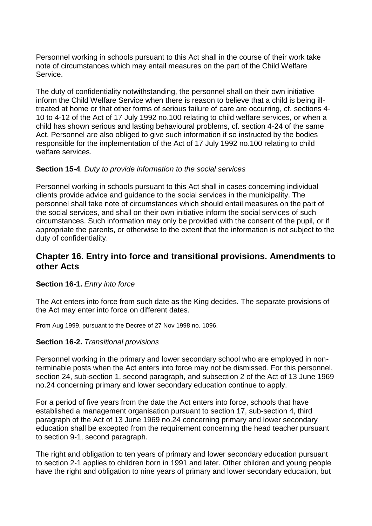Personnel working in schools pursuant to this Act shall in the course of their work take note of circumstances which may entail measures on the part of the Child Welfare Service.

The duty of confidentiality notwithstanding, the personnel shall on their own initiative inform the Child Welfare Service when there is reason to believe that a child is being illtreated at home or that other forms of serious failure of care are occurring, cf. sections 4- 10 to 4-12 of the Act of 17 July 1992 no.100 relating to child welfare services, or when a child has shown serious and lasting behavioural problems, cf. section 4-24 of the same Act. Personnel are also obliged to give such information if so instructed by the bodies responsible for the implementation of the Act of 17 July 1992 no.100 relating to child welfare services.

## **Section 15-4***. Duty to provide information to the social services*

Personnel working in schools pursuant to this Act shall in cases concerning individual clients provide advice and guidance to the social services in the municipality. The personnel shall take note of circumstances which should entail measures on the part of the social services, and shall on their own initiative inform the social services of such circumstances. Such information may only be provided with the consent of the pupil, or if appropriate the parents, or otherwise to the extent that the information is not subject to the duty of confidentiality.

# **Chapter 16. Entry into force and transitional provisions. Amendments to other Acts**

### **Section 16-1.** *Entry into force*

The Act enters into force from such date as the King decides. The separate provisions of the Act may enter into force on different dates.

From Aug 1999, pursuant to the Decree of 27 Nov 1998 no. 1096.

### **Section 16-2.** *Transitional provisions*

Personnel working in the primary and lower secondary school who are employed in nonterminable posts when the Act enters into force may not be dismissed. For this personnel, section 24, sub-section 1, second paragraph, and subsection 2 of the Act of 13 June 1969 no.24 concerning primary and lower secondary education continue to apply.

For a period of five years from the date the Act enters into force, schools that have established a management organisation pursuant to section 17, sub-section 4, third paragraph of the Act of 13 June 1969 no.24 concerning primary and lower secondary education shall be excepted from the requirement concerning the head teacher pursuant to section 9-1, second paragraph.

The right and obligation to ten years of primary and lower secondary education pursuant to section 2-1 applies to children born in 1991 and later. Other children and young people have the right and obligation to nine years of primary and lower secondary education, but